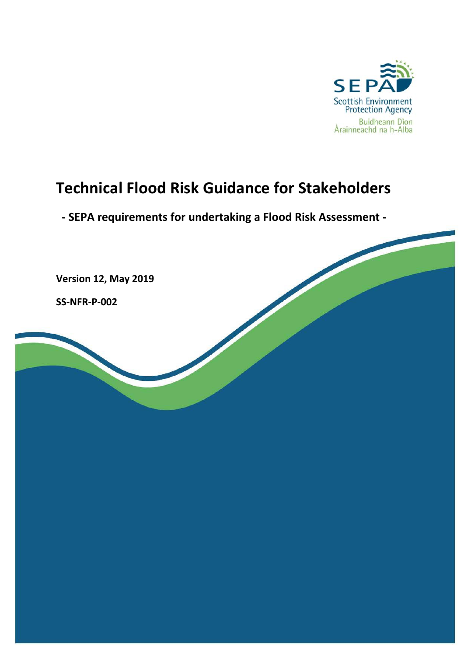

# **Technical Flood Risk Guidance for Stakeholders**

**- SEPA requirements for undertaking a Flood Risk Assessment -**

**Version 12, May 2019**

**SS-NFR-P-002**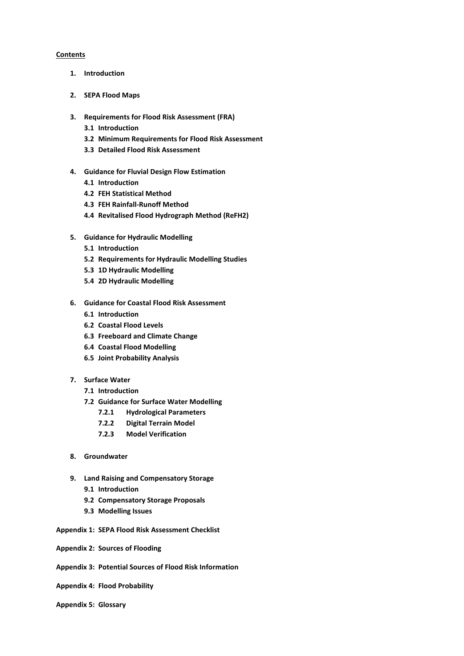#### **Contents**

- **1. Introduction**
- **2. SEPA Flood Maps**
- **3. Requirements for Flood Risk Assessment (FRA)**
	- **3.1 Introduction**
	- **3.2 Minimum Requirements for Flood Risk Assessment**
	- **3.3 Detailed Flood Risk Assessment**
- **4. Guidance for Fluvial Design Flow Estimation**
	- **4.1 Introduction**
	- **4.2 FEH Statistical Method**
	- **4.3 FEH Rainfall-Runoff Method**
	- **4.4 Revitalised Flood Hydrograph Method (ReFH2)**
- **5. Guidance for Hydraulic Modelling**
	- **5.1 Introduction**
	- **5.2 Requirements for Hydraulic Modelling Studies**
	- **5.3 1D Hydraulic Modelling**
	- **5.4 2D Hydraulic Modelling**
- **6. Guidance for Coastal Flood Risk Assessment**
	- **6.1 Introduction**
	- **6.2 Coastal Flood Levels**
	- **6.3 Freeboard and Climate Change**
	- **6.4 Coastal Flood Modelling**
	- **6.5 Joint Probability Analysis**
- **7. Surface Water**
	- **7.1 Introduction**
	- **7.2 Guidance for Surface Water Modelling**
		- **7.2.1 Hydrological Parameters**
		- **7.2.2 Digital Terrain Model**
		- **7.2.3 Model Verification**
- **8. Groundwater**
- **9. Land Raising and Compensatory Storage**
	- **9.1 Introduction**
	- **9.2 Compensatory Storage Proposals**
	- **9.3 Modelling Issues**
- **Appendix 1: SEPA Flood Risk Assessment Checklist**
- **Appendix 2: Sources of Flooding**
- **Appendix 3: Potential Sources of Flood Risk Information**
- **Appendix 4: Flood Probability**
- **Appendix 5: Glossary**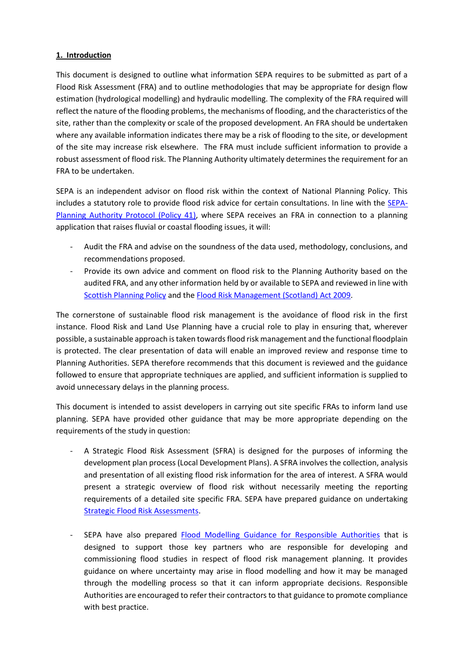# **1. Introduction**

This document is designed to outline what information SEPA requires to be submitted as part of a Flood Risk Assessment (FRA) and to outline methodologies that may be appropriate for design flow estimation (hydrological modelling) and hydraulic modelling. The complexity of the FRA required will reflect the nature of the flooding problems, the mechanisms of flooding, and the characteristics of the site, rather than the complexity or scale of the proposed development. An FRA should be undertaken where any available information indicates there may be a risk of flooding to the site, or development of the site may increase risk elsewhere. The FRA must include sufficient information to provide a robust assessment of flood risk. The Planning Authority ultimately determines the requirement for an FRA to be undertaken.

SEPA is an independent advisor on flood risk within the context of National Planning Policy. This includes a statutory role to provide flood risk advice for certain consultations. In line with the [SEPA-](https://www.sepa.org.uk/media/136143/sepa-planning-authority-protocol-41.pdf)[Planning Authority Protocol \(Policy 41\),](https://www.sepa.org.uk/media/136143/sepa-planning-authority-protocol-41.pdf) where SEPA receives an FRA in connection to a planning application that raises fluvial or coastal flooding issues, it will:

- Audit the FRA and advise on the soundness of the data used, methodology, conclusions, and recommendations proposed.
- Provide its own advice and comment on flood risk to the Planning Authority based on the audited FRA, and any other information held by or available to SEPA and reviewed in line with [Scottish Planning Policy](http://www.gov.scot/Publications/2014/06/5823) and the [Flood Risk Management \(Scotland\) Act 2009.](https://www.legislation.gov.uk/asp/2009/6/pdfs/asp_20090006_en.pdf)

The cornerstone of sustainable flood risk management is the avoidance of flood risk in the first instance. Flood Risk and Land Use Planning have a crucial role to play in ensuring that, wherever possible, a sustainable approach is taken towards flood risk management and the functional floodplain is protected. The clear presentation of data will enable an improved review and response time to Planning Authorities. SEPA therefore recommends that this document is reviewed and the guidance followed to ensure that appropriate techniques are applied, and sufficient information is supplied to avoid unnecessary delays in the planning process.

This document is intended to assist developers in carrying out site specific FRAs to inform land use planning. SEPA have provided other guidance that may be more appropriate depending on the requirements of the study in question:

- A Strategic Flood Risk Assessment (SFRA) is designed for the purposes of informing the development plan process (Local Development Plans). A SFRA involves the collection, analysis and presentation of all existing flood risk information for the area of interest. A SFRA would present a strategic overview of flood risk without necessarily meeting the reporting requirements of a detailed site specific FRA. SEPA have prepared guidance on undertaking [Strategic Flood Risk Assessments.](https://www.sepa.org.uk/media/143351/lups-gu23-strategic-flood-risk-assessment-sepa-technical-guidance-to-support-development-planning.pdf)
- SEPA have also prepared [Flood Modelling Guidance for Responsible Authorities](https://www.sepa.org.uk/media/219653/flood_model_guidance_v2.pdf) that is designed to support those key partners who are responsible for developing and commissioning flood studies in respect of flood risk management planning. It provides guidance on where uncertainty may arise in flood modelling and how it may be managed through the modelling process so that it can inform appropriate decisions. Responsible Authorities are encouraged to refer their contractors to that guidance to promote compliance with best practice.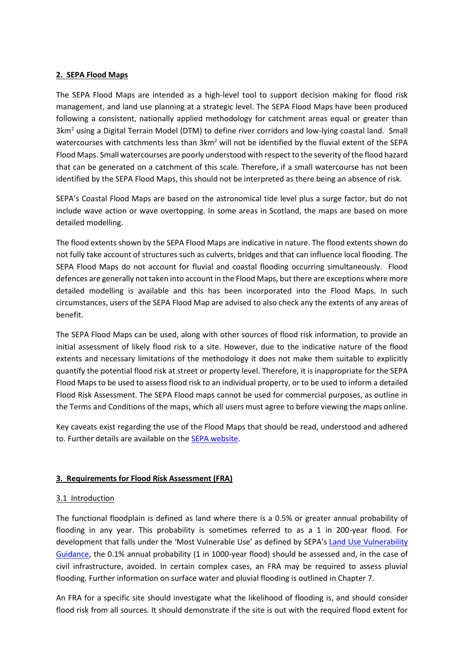## **2. SEPA Flood Maps**

The SEPA Flood Maps are intended as a high-level tool to support decision making for flood risk management, and land use planning at a strategic level. The SEPA Flood Maps have been produced following a consistent, nationally applied methodology for catchment areas equal or greater than 3km<sup>2</sup> using a Digital Terrain Model (DTM) to define river corridors and low-lying coastal land. Small watercourses with catchments less than  $3km^2$  will not be identified by the fluvial extent of the SEPA Flood Maps. Small watercourses are poorly understood with respect to the severity of the flood hazard that can be generated on a catchment of this scale. Therefore, if a small watercourse has not been identified by the SEPA Flood Maps, this should not be interpreted as there being an absence of risk.

SEPA's Coastal Flood Maps are based on the astronomical tide level plus a surge factor, but do not include wave action or wave overtopping. In some areas in Scotland, the maps are based on more detailed modelling.

The flood extents shown by the SEPA Flood Maps are indicative in nature. The flood extents shown do not fully take account of structures such as culverts, bridges and that can influence local flooding. The SEPA Flood Maps do not account for fluvial and coastal flooding occurring simultaneously. Flood defences are generally not taken into account in the Flood Maps, but there are exceptions where more detailed modelling is available and this has been incorporated into the Flood Maps. In such circumstances, users of the SEPA Flood Map are advised to also check any the extents of any areas of benefit.

The SEPA Flood Maps can be used, along with other sources of flood risk information, to provide an initial assessment of likely flood risk to a site. However, due to the indicative nature of the flood extents and necessary limitations of the methodology it does not make them suitable to explicitly quantify the potential flood risk at street or property level. Therefore, it is inappropriate for the SEPA Flood Maps to be used to assess flood risk to an individual property, or to be used to inform a detailed Flood Risk Assessment. The SEPA Flood maps cannot be used for commercial purposes, as outline in the Terms and Conditions of the maps, which all users must agree to before viewing the maps online.

Key caveats exist regarding the use of the Flood Maps that should be read, understood and adhered to. Further details are available on the [SEPA website.](https://www.sepa.org.uk/environment/water/flooding/flood-maps/)

# **3. Requirements for Flood Risk Assessment (FRA)**

# 3.1 Introduction

The functional floodplain is defined as land where there is a 0.5% or greater annual probability of flooding in any year. This probability is sometimes referred to as a 1 in 200-year flood. For development that falls under the 'Most Vulnerable Use' as defined by SEPA's [Land Use Vulnerability](https://www.sepa.org.uk/media/143416/land-use-vulnerability-guidance.pdf)  [Guidance,](https://www.sepa.org.uk/media/143416/land-use-vulnerability-guidance.pdf) the 0.1% annual probability (1 in 1000-year flood) should be assessed and, in the case of civil infrastructure, avoided. In certain complex cases, an FRA may be required to assess pluvial flooding. Further information on surface water and pluvial flooding is outlined in Chapter 7.

An FRA for a specific site should investigate what the likelihood of flooding is, and should consider flood risk from all sources. It should demonstrate if the site is out with the required flood extent for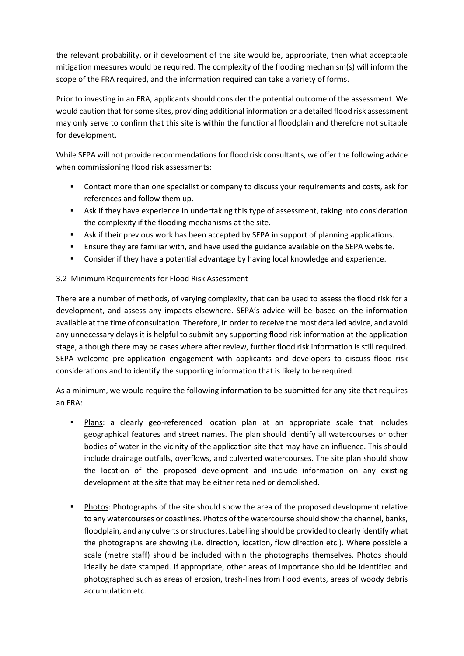the relevant probability, or if development of the site would be, appropriate, then what acceptable mitigation measures would be required. The complexity of the flooding mechanism(s) will inform the scope of the FRA required, and the information required can take a variety of forms.

Prior to investing in an FRA, applicants should consider the potential outcome of the assessment. We would caution that for some sites, providing additional information or a detailed flood risk assessment may only serve to confirm that this site is within the functional floodplain and therefore not suitable for development.

While SEPA will not provide recommendations for flood risk consultants, we offer the following advice when commissioning flood risk assessments:

- Contact more than one specialist or company to discuss your requirements and costs, ask for references and follow them up.
- Ask if they have experience in undertaking this type of assessment, taking into consideration the complexity if the flooding mechanisms at the site.
- Ask if their previous work has been accepted by SEPA in support of planning applications.
- Ensure they are familiar with, and have used the guidance available on the SEPA website.
- **Consider if they have a potential advantage by having local knowledge and experience.**

# 3.2 Minimum Requirements for Flood Risk Assessment

There are a number of methods, of varying complexity, that can be used to assess the flood risk for a development, and assess any impacts elsewhere. SEPA's advice will be based on the information available at the time of consultation. Therefore, in order to receive the most detailed advice, and avoid any unnecessary delays it is helpful to submit any supporting flood risk information at the application stage, although there may be cases where after review, further flood risk information is still required. SEPA welcome pre-application engagement with applicants and developers to discuss flood risk considerations and to identify the supporting information that is likely to be required.

As a minimum, we would require the following information to be submitted for any site that requires an FRA:

- Plans: a clearly geo-referenced location plan at an appropriate scale that includes geographical features and street names. The plan should identify all watercourses or other bodies of water in the vicinity of the application site that may have an influence. This should include drainage outfalls, overflows, and culverted watercourses. The site plan should show the location of the proposed development and include information on any existing development at the site that may be either retained or demolished.
- Photos: Photographs of the site should show the area of the proposed development relative to any watercourses or coastlines. Photos of the watercourse should show the channel, banks, floodplain, and any culverts or structures. Labelling should be provided to clearly identify what the photographs are showing (i.e. direction, location, flow direction etc.). Where possible a scale (metre staff) should be included within the photographs themselves. Photos should ideally be date stamped. If appropriate, other areas of importance should be identified and photographed such as areas of erosion, trash-lines from flood events, areas of woody debris accumulation etc.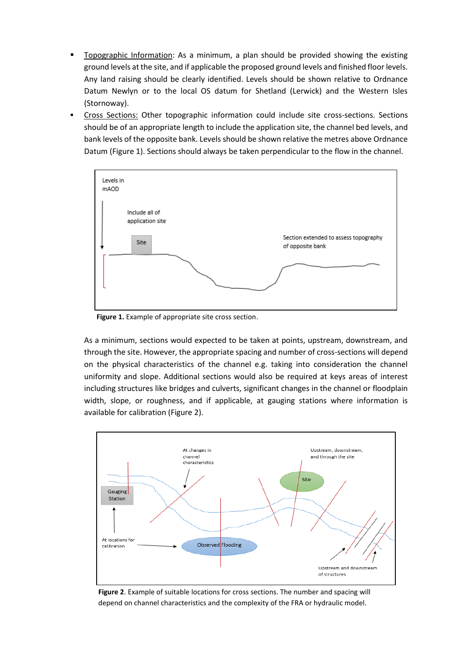- Topographic Information: As a minimum, a plan should be provided showing the existing ground levels at the site, and if applicable the proposed ground levels and finished floor levels. Any land raising should be clearly identified. Levels should be shown relative to Ordnance Datum Newlyn or to the local OS datum for Shetland (Lerwick) and the Western Isles (Stornoway).
- Cross Sections: Other topographic information could include site cross-sections. Sections should be of an appropriate length to include the application site, the channel bed levels, and bank levels of the opposite bank. Levels should be shown relative the metres above Ordnance Datum (Figure 1). Sections should always be taken perpendicular to the flow in the channel.



 **Figure 1.** Example of appropriate site cross section.

As a minimum, sections would expected to be taken at points, upstream, downstream, and through the site. However, the appropriate spacing and number of cross-sections will depend on the physical characteristics of the channel e.g. taking into consideration the channel uniformity and slope. Additional sections would also be required at keys areas of interest including structures like bridges and culverts, significant changes in the channel or floodplain width, slope, or roughness, and if applicable, at gauging stations where information is available for calibration (Figure 2).



 **Figure 2**. Example of suitable locations for cross sections. The number and spacing will depend on channel characteristics and the complexity of the FRA or hydraulic model.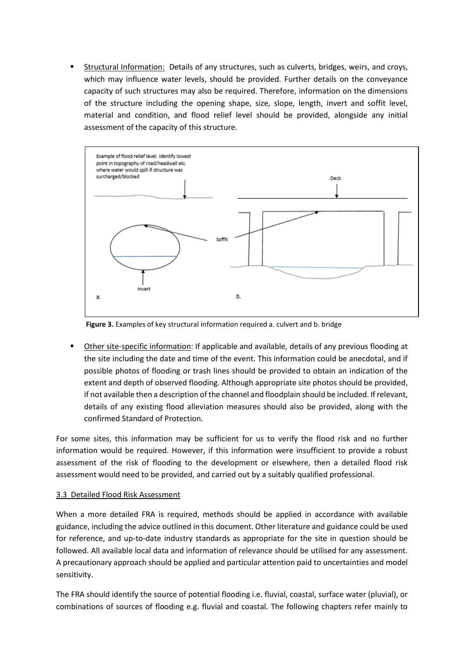Structural Information: Details of any structures, such as culverts, bridges, weirs, and croys, which may influence water levels, should be provided. Further details on the conveyance capacity of such structures may also be required. Therefore, information on the dimensions of the structure including the opening shape, size, slope, length, invert and soffit level, material and condition, and flood relief level should be provided, alongside any initial assessment of the capacity of this structure.



**Figure 3.** Examples of key structural information required a. culvert and b. bridge

 Other site-specific information: If applicable and available, details of any previous flooding at the site including the date and time of the event. This information could be anecdotal, and if possible photos of flooding or trash lines should be provided to obtain an indication of the extent and depth of observed flooding. Although appropriate site photos should be provided, if not available then a description of the channel and floodplain should be included. If relevant, details of any existing flood alleviation measures should also be provided, along with the confirmed Standard of Protection.

For some sites, this information may be sufficient for us to verify the flood risk and no further information would be required. However, if this information were insufficient to provide a robust assessment of the risk of flooding to the development or elsewhere, then a detailed flood risk assessment would need to be provided, and carried out by a suitably qualified professional.

#### 3.3 Detailed Flood Risk Assessment

When a more detailed FRA is required, methods should be applied in accordance with available guidance, including the advice outlined in this document. Other literature and guidance could be used for reference, and up-to-date industry standards as appropriate for the site in question should be followed. All available local data and information of relevance should be utilised for any assessment. A precautionary approach should be applied and particular attention paid to uncertainties and model sensitivity.

The FRA should identify the source of potential flooding i.e. fluvial, coastal, surface water (pluvial), or combinations of sources of flooding e.g. fluvial and coastal. The following chapters refer mainly to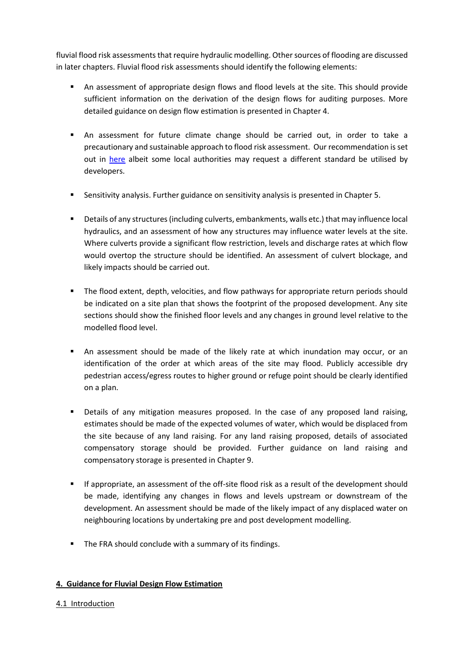fluvial flood risk assessments that require hydraulic modelling. Other sources of flooding are discussed in later chapters. Fluvial flood risk assessments should identify the following elements:

- An assessment of appropriate design flows and flood levels at the site. This should provide sufficient information on the derivation of the design flows for auditing purposes. More detailed guidance on design flow estimation is presented in Chapter 4.
- An assessment for future climate change should be carried out, in order to take a precautionary and sustainable approach to flood risk assessment. Our recommendation is set out in [here](https://www.sepa.org.uk/media/426913/lups_cc1.pdf) albeit some local authorities may request a different standard be utilised by developers.
- Sensitivity analysis. Further guidance on sensitivity analysis is presented in Chapter 5.
- Details of any structures (including culverts, embankments, walls etc.) that may influence local hydraulics, and an assessment of how any structures may influence water levels at the site. Where culverts provide a significant flow restriction, levels and discharge rates at which flow would overtop the structure should be identified. An assessment of culvert blockage, and likely impacts should be carried out.
- The flood extent, depth, velocities, and flow pathways for appropriate return periods should be indicated on a site plan that shows the footprint of the proposed development. Any site sections should show the finished floor levels and any changes in ground level relative to the modelled flood level.
- An assessment should be made of the likely rate at which inundation may occur, or an identification of the order at which areas of the site may flood. Publicly accessible dry pedestrian access/egress routes to higher ground or refuge point should be clearly identified on a plan.
- **•** Details of any mitigation measures proposed. In the case of any proposed land raising, estimates should be made of the expected volumes of water, which would be displaced from the site because of any land raising. For any land raising proposed, details of associated compensatory storage should be provided. Further guidance on land raising and compensatory storage is presented in Chapter 9.
- If appropriate, an assessment of the off-site flood risk as a result of the development should be made, identifying any changes in flows and levels upstream or downstream of the development. An assessment should be made of the likely impact of any displaced water on neighbouring locations by undertaking pre and post development modelling.
- The FRA should conclude with a summary of its findings.

# **4. Guidance for Fluvial Design Flow Estimation**

# 4.1 Introduction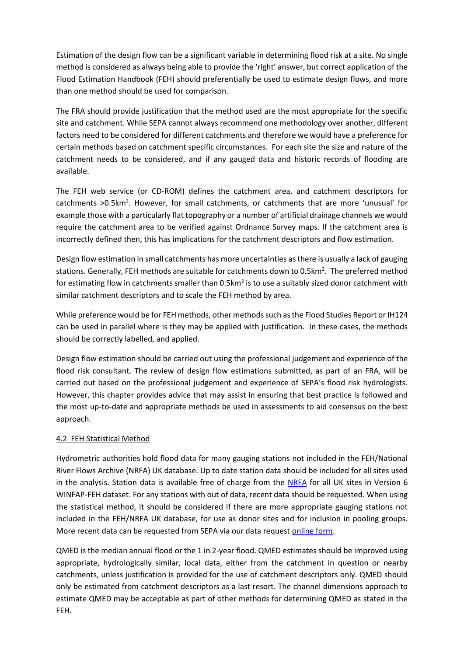Estimation of the design flow can be a significant variable in determining flood risk at a site. No single method is considered as always being able to provide the 'right' answer, but correct application of the Flood Estimation Handbook (FEH) should preferentially be used to estimate design flows, and more than one method should be used for comparison.

The FRA should provide justification that the method used are the most appropriate for the specific site and catchment. While SEPA cannot always recommend one methodology over another, different factors need to be considered for different catchments and therefore we would have a preference for certain methods based on catchment specific circumstances. For each site the size and nature of the catchment needs to be considered, and if any gauged data and historic records of flooding are available.

The FEH web service (or CD-ROM) defines the catchment area, and catchment descriptors for catchments >0.5km<sup>2</sup>. However, for small catchments, or catchments that are more 'unusual' for example those with a particularly flat topography or a number of artificial drainage channels we would require the catchment area to be verified against Ordnance Survey maps. If the catchment area is incorrectly defined then, this has implications for the catchment descriptors and flow estimation.

Design flow estimation in small catchments has more uncertainties as there is usually a lack of gauging stations. Generally, FEH methods are suitable for catchments down to 0.5km<sup>2</sup>. The preferred method for estimating flow in catchments smaller than 0.5km<sup>2</sup> is to use a suitably sized donor catchment with similar catchment descriptors and to scale the FEH method by area.

While preference would be for FEH methods, other methods such as the Flood Studies Report or IH124 can be used in parallel where is they may be applied with justification. In these cases, the methods should be correctly labelled, and applied.

Design flow estimation should be carried out using the professional judgement and experience of the flood risk consultant. The review of design flow estimations submitted, as part of an FRA, will be carried out based on the professional judgement and experience of SEPA's flood risk hydrologists. However, this chapter provides advice that may assist in ensuring that best practice is followed and the most up-to-date and appropriate methods be used in assessments to aid consensus on the best approach.

# 4.2 FEH Statistical Method

Hydrometric authorities hold flood data for many gauging stations not included in the FEH/National River Flows Archive (NRFA) UK database. Up to date station data should be included for all sites used in the analysis. Station data is available free of charge from the [NRFA](https://nrfa.ceh.ac.uk/) for all UK sites in Version 6 WINFAP-FEH dataset. For any stations with out of data, recent data should be requested. When using the statistical method, it should be considered if there are more appropriate gauging stations not included in the FEH/NRFA UK database, for use as donor sites and for inclusion in pooling groups. More recent data can be requested from SEPA via our data reques[t online form.](https://www.sepa.org.uk/contact/contact-us-via-email/)

QMED is the median annual flood or the 1 in 2-year flood. QMED estimates should be improved using appropriate, hydrologically similar, local data, either from the catchment in question or nearby catchments, unless justification is provided for the use of catchment descriptors only. QMED should only be estimated from catchment descriptors as a last resort. The channel dimensions approach to estimate QMED may be acceptable as part of other methods for determining QMED as stated in the FEH.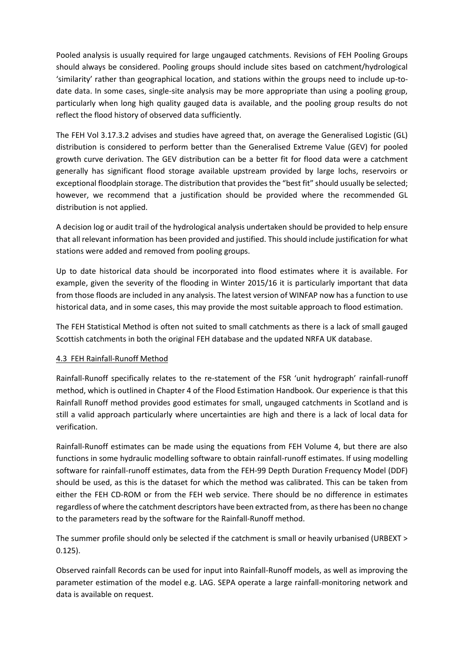Pooled analysis is usually required for large ungauged catchments. Revisions of FEH Pooling Groups should always be considered. Pooling groups should include sites based on catchment/hydrological 'similarity' rather than geographical location, and stations within the groups need to include up-todate data. In some cases, single-site analysis may be more appropriate than using a pooling group, particularly when long high quality gauged data is available, and the pooling group results do not reflect the flood history of observed data sufficiently.

The FEH Vol 3.17.3.2 advises and studies have agreed that, on average the Generalised Logistic (GL) distribution is considered to perform better than the Generalised Extreme Value (GEV) for pooled growth curve derivation. The GEV distribution can be a better fit for flood data were a catchment generally has significant flood storage available upstream provided by large lochs, reservoirs or exceptional floodplain storage. The distribution that provides the "best fit" should usually be selected; however, we recommend that a justification should be provided where the recommended GL distribution is not applied.

A decision log or audit trail of the hydrological analysis undertaken should be provided to help ensure that all relevant information has been provided and justified. This should include justification for what stations were added and removed from pooling groups.

Up to date historical data should be incorporated into flood estimates where it is available. For example, given the severity of the flooding in Winter 2015/16 it is particularly important that data from those floods are included in any analysis. The latest version of WINFAP now has a function to use historical data, and in some cases, this may provide the most suitable approach to flood estimation.

The FEH Statistical Method is often not suited to small catchments as there is a lack of small gauged Scottish catchments in both the original FEH database and the updated NRFA UK database.

# 4.3 FEH Rainfall-Runoff Method

Rainfall-Runoff specifically relates to the re-statement of the FSR 'unit hydrograph' rainfall-runoff method, which is outlined in Chapter 4 of the Flood Estimation Handbook. Our experience is that this Rainfall Runoff method provides good estimates for small, ungauged catchments in Scotland and is still a valid approach particularly where uncertainties are high and there is a lack of local data for verification.

Rainfall-Runoff estimates can be made using the equations from FEH Volume 4, but there are also functions in some hydraulic modelling software to obtain rainfall-runoff estimates. If using modelling software for rainfall-runoff estimates, data from the FEH-99 Depth Duration Frequency Model (DDF) should be used, as this is the dataset for which the method was calibrated. This can be taken from either the FEH CD-ROM or from the FEH web service. There should be no difference in estimates regardless of where the catchment descriptors have been extracted from, as there has been no change to the parameters read by the software for the Rainfall-Runoff method.

The summer profile should only be selected if the catchment is small or heavily urbanised (URBEXT > 0.125).

Observed rainfall Records can be used for input into Rainfall-Runoff models, as well as improving the parameter estimation of the model e.g. LAG. SEPA operate a large rainfall-monitoring network and data is available on request.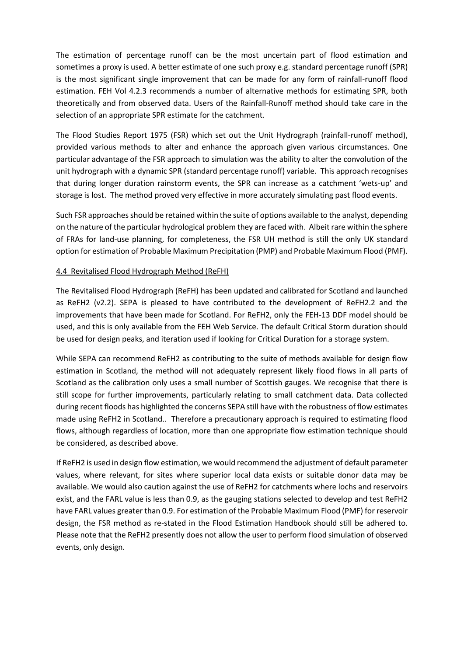The estimation of percentage runoff can be the most uncertain part of flood estimation and sometimes a proxy is used. A better estimate of one such proxy e.g. standard percentage runoff (SPR) is the most significant single improvement that can be made for any form of rainfall-runoff flood estimation. FEH Vol 4.2.3 recommends a number of alternative methods for estimating SPR, both theoretically and from observed data. Users of the Rainfall-Runoff method should take care in the selection of an appropriate SPR estimate for the catchment.

The Flood Studies Report 1975 (FSR) which set out the Unit Hydrograph (rainfall-runoff method), provided various methods to alter and enhance the approach given various circumstances. One particular advantage of the FSR approach to simulation was the ability to alter the convolution of the unit hydrograph with a dynamic SPR (standard percentage runoff) variable. This approach recognises that during longer duration rainstorm events, the SPR can increase as a catchment 'wets-up' and storage is lost. The method proved very effective in more accurately simulating past flood events.

Such FSR approaches should be retained within the suite of options available to the analyst, depending on the nature of the particular hydrological problem they are faced with. Albeit rare within the sphere of FRAs for land-use planning, for completeness, the FSR UH method is still the only UK standard option for estimation of Probable Maximum Precipitation (PMP) and Probable Maximum Flood (PMF).

# 4.4 Revitalised Flood Hydrograph Method (ReFH)

The Revitalised Flood Hydrograph (ReFH) has been updated and calibrated for Scotland and launched as ReFH2 (v2.2). SEPA is pleased to have contributed to the development of ReFH2.2 and the improvements that have been made for Scotland. For ReFH2, only the FEH-13 DDF model should be used, and this is only available from the FEH Web Service. The default Critical Storm duration should be used for design peaks, and iteration used if looking for Critical Duration for a storage system.

While SEPA can recommend ReFH2 as contributing to the suite of methods available for design flow estimation in Scotland, the method will not adequately represent likely flood flows in all parts of Scotland as the calibration only uses a small number of Scottish gauges. We recognise that there is still scope for further improvements, particularly relating to small catchment data. Data collected during recent floods has highlighted the concerns SEPA still have with the robustness of flow estimates made using ReFH2 in Scotland.. Therefore a precautionary approach is required to estimating flood flows, although regardless of location, more than one appropriate flow estimation technique should be considered, as described above.

If ReFH2 is used in design flow estimation, we would recommend the adjustment of default parameter values, where relevant, for sites where superior local data exists or suitable donor data may be available. We would also caution against the use of ReFH2 for catchments where lochs and reservoirs exist, and the FARL value is less than 0.9, as the gauging stations selected to develop and test ReFH2 have FARL values greater than 0.9. For estimation of the Probable Maximum Flood (PMF) for reservoir design, the FSR method as re-stated in the Flood Estimation Handbook should still be adhered to. Please note that the ReFH2 presently does not allow the user to perform flood simulation of observed events, only design.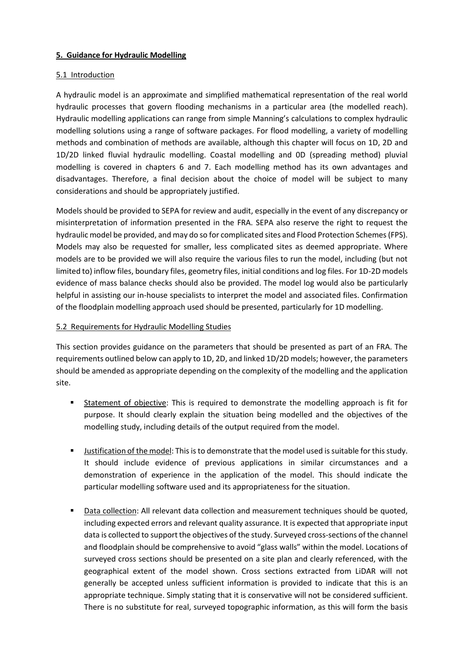# **5. Guidance for Hydraulic Modelling**

# 5.1 Introduction

A hydraulic model is an approximate and simplified mathematical representation of the real world hydraulic processes that govern flooding mechanisms in a particular area (the modelled reach). Hydraulic modelling applications can range from simple Manning's calculations to complex hydraulic modelling solutions using a range of software packages. For flood modelling, a variety of modelling methods and combination of methods are available, although this chapter will focus on 1D, 2D and 1D/2D linked fluvial hydraulic modelling. Coastal modelling and 0D (spreading method) pluvial modelling is covered in chapters 6 and 7. Each modelling method has its own advantages and disadvantages. Therefore, a final decision about the choice of model will be subject to many considerations and should be appropriately justified.

Models should be provided to SEPA for review and audit, especially in the event of any discrepancy or misinterpretation of information presented in the FRA. SEPA also reserve the right to request the hydraulic model be provided, and may do so for complicated sites and Flood Protection Schemes (FPS). Models may also be requested for smaller, less complicated sites as deemed appropriate. Where models are to be provided we will also require the various files to run the model, including (but not limited to) inflow files, boundary files, geometry files, initial conditions and log files. For 1D-2D models evidence of mass balance checks should also be provided. The model log would also be particularly helpful in assisting our in-house specialists to interpret the model and associated files. Confirmation of the floodplain modelling approach used should be presented, particularly for 1D modelling.

# 5.2 Requirements for Hydraulic Modelling Studies

This section provides guidance on the parameters that should be presented as part of an FRA. The requirements outlined below can apply to 1D, 2D, and linked 1D/2D models; however, the parameters should be amended as appropriate depending on the complexity of the modelling and the application site.

- Statement of objective: This is required to demonstrate the modelling approach is fit for purpose. It should clearly explain the situation being modelled and the objectives of the modelling study, including details of the output required from the model.
- **Justification of the model: This is to demonstrate that the model used is suitable for this study.** It should include evidence of previous applications in similar circumstances and a demonstration of experience in the application of the model. This should indicate the particular modelling software used and its appropriateness for the situation.
- Data collection: All relevant data collection and measurement techniques should be quoted, including expected errors and relevant quality assurance. It is expected that appropriate input data is collected to support the objectives of the study. Surveyed cross-sections of the channel and floodplain should be comprehensive to avoid "glass walls" within the model. Locations of surveyed cross sections should be presented on a site plan and clearly referenced, with the geographical extent of the model shown. Cross sections extracted from LiDAR will not generally be accepted unless sufficient information is provided to indicate that this is an appropriate technique. Simply stating that it is conservative will not be considered sufficient. There is no substitute for real, surveyed topographic information, as this will form the basis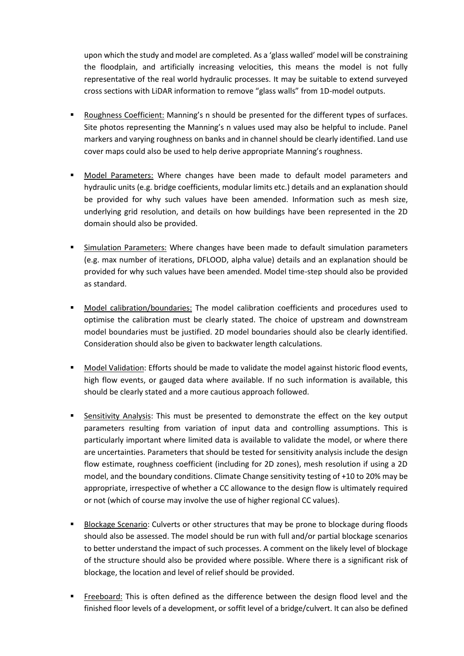upon which the study and model are completed. As a 'glass walled' model will be constraining the floodplain, and artificially increasing velocities, this means the model is not fully representative of the real world hydraulic processes. It may be suitable to extend surveyed cross sections with LiDAR information to remove "glass walls" from 1D-model outputs.

- Roughness Coefficient: Manning's n should be presented for the different types of surfaces. Site photos representing the Manning's n values used may also be helpful to include. Panel markers and varying roughness on banks and in channel should be clearly identified. Land use cover maps could also be used to help derive appropriate Manning's roughness.
- Model Parameters: Where changes have been made to default model parameters and hydraulic units (e.g. bridge coefficients, modular limits etc.) details and an explanation should be provided for why such values have been amended. Information such as mesh size, underlying grid resolution, and details on how buildings have been represented in the 2D domain should also be provided.
- Simulation Parameters: Where changes have been made to default simulation parameters (e.g. max number of iterations, DFLOOD, alpha value) details and an explanation should be provided for why such values have been amended. Model time-step should also be provided as standard.
- Model calibration/boundaries: The model calibration coefficients and procedures used to optimise the calibration must be clearly stated. The choice of upstream and downstream model boundaries must be justified. 2D model boundaries should also be clearly identified. Consideration should also be given to backwater length calculations.
- **Model Validation:** Efforts should be made to validate the model against historic flood events, high flow events, or gauged data where available. If no such information is available, this should be clearly stated and a more cautious approach followed.
- Sensitivity Analysis: This must be presented to demonstrate the effect on the key output parameters resulting from variation of input data and controlling assumptions. This is particularly important where limited data is available to validate the model, or where there are uncertainties. Parameters that should be tested for sensitivity analysis include the design flow estimate, roughness coefficient (including for 2D zones), mesh resolution if using a 2D model, and the boundary conditions. Climate Change sensitivity testing of +10 to 20% may be appropriate, irrespective of whether a CC allowance to the design flow is ultimately required or not (which of course may involve the use of higher regional CC values).
- Blockage Scenario: Culverts or other structures that may be prone to blockage during floods should also be assessed. The model should be run with full and/or partial blockage scenarios to better understand the impact of such processes. A comment on the likely level of blockage of the structure should also be provided where possible. Where there is a significant risk of blockage, the location and level of relief should be provided.
- Freeboard: This is often defined as the difference between the design flood level and the finished floor levels of a development, or soffit level of a bridge/culvert. It can also be defined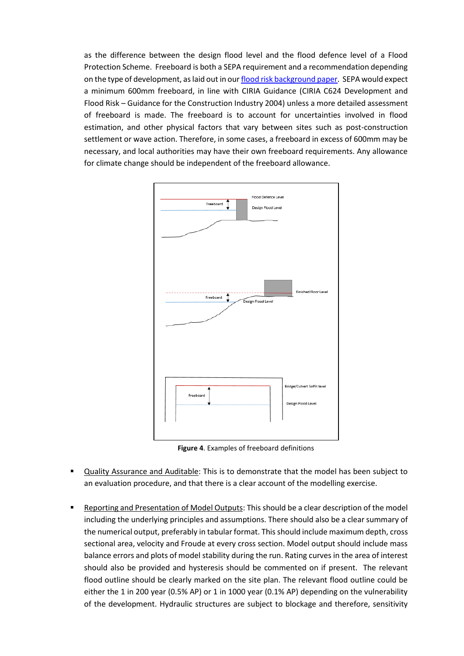as the difference between the design flood level and the flood defence level of a Flood Protection Scheme. Freeboard is both a SEPA requirement and a recommendation depending on the type of development, as laid out in ou[r flood risk background paper.](https://www.sepa.org.uk/media/162837/lups-bp-gu2a-land-use-planning-background-paper-on-flood-risk.pdf) SEPA would expect a minimum 600mm freeboard, in line with CIRIA Guidance (CIRIA C624 Development and Flood Risk – Guidance for the Construction Industry 2004) unless a more detailed assessment of freeboard is made. The freeboard is to account for uncertainties involved in flood estimation, and other physical factors that vary between sites such as post-construction settlement or wave action. Therefore, in some cases, a freeboard in excess of 600mm may be necessary, and local authorities may have their own freeboard requirements. Any allowance for climate change should be independent of the freeboard allowance.



**Figure 4**. Examples of freeboard definitions

- Quality Assurance and Auditable: This is to demonstrate that the model has been subject to an evaluation procedure, and that there is a clear account of the modelling exercise.
- Reporting and Presentation of Model Outputs: This should be a clear description of the model including the underlying principles and assumptions. There should also be a clear summary of the numerical output, preferably in tabular format. This should include maximum depth, cross sectional area, velocity and Froude at every cross section. Model output should include mass balance errors and plots of model stability during the run. Rating curves in the area of interest should also be provided and hysteresis should be commented on if present. The relevant flood outline should be clearly marked on the site plan. The relevant flood outline could be either the 1 in 200 year (0.5% AP) or 1 in 1000 year (0.1% AP) depending on the vulnerability of the development. Hydraulic structures are subject to blockage and therefore, sensitivity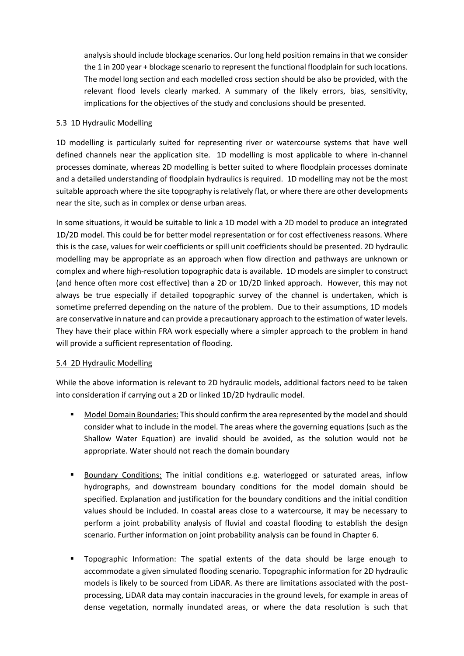analysis should include blockage scenarios. Our long held position remains in that we consider the 1 in 200 year + blockage scenario to represent the functional floodplain for such locations. The model long section and each modelled cross section should be also be provided, with the relevant flood levels clearly marked. A summary of the likely errors, bias, sensitivity, implications for the objectives of the study and conclusions should be presented.

## 5.3 1D Hydraulic Modelling

1D modelling is particularly suited for representing river or watercourse systems that have well defined channels near the application site. 1D modelling is most applicable to where in-channel processes dominate, whereas 2D modelling is better suited to where floodplain processes dominate and a detailed understanding of floodplain hydraulics is required. 1D modelling may not be the most suitable approach where the site topography is relatively flat, or where there are other developments near the site, such as in complex or dense urban areas.

In some situations, it would be suitable to link a 1D model with a 2D model to produce an integrated 1D/2D model. This could be for better model representation or for cost effectiveness reasons. Where this is the case, values for weir coefficients or spill unit coefficients should be presented. 2D hydraulic modelling may be appropriate as an approach when flow direction and pathways are unknown or complex and where high-resolution topographic data is available. 1D models are simpler to construct (and hence often more cost effective) than a 2D or 1D/2D linked approach. However, this may not always be true especially if detailed topographic survey of the channel is undertaken, which is sometime preferred depending on the nature of the problem. Due to their assumptions, 1D models are conservative in nature and can provide a precautionary approach to the estimation of water levels. They have their place within FRA work especially where a simpler approach to the problem in hand will provide a sufficient representation of flooding.

# 5.4 2D Hydraulic Modelling

While the above information is relevant to 2D hydraulic models, additional factors need to be taken into consideration if carrying out a 2D or linked 1D/2D hydraulic model.

- Model Domain Boundaries: This should confirm the area represented by the model and should consider what to include in the model. The areas where the governing equations (such as the Shallow Water Equation) are invalid should be avoided, as the solution would not be appropriate. Water should not reach the domain boundary
- **Boundary Conditions: The initial conditions e.g. waterlogged or saturated areas, inflow** hydrographs, and downstream boundary conditions for the model domain should be specified. Explanation and justification for the boundary conditions and the initial condition values should be included. In coastal areas close to a watercourse, it may be necessary to perform a joint probability analysis of fluvial and coastal flooding to establish the design scenario. Further information on joint probability analysis can be found in Chapter 6.
- Topographic Information: The spatial extents of the data should be large enough to accommodate a given simulated flooding scenario. Topographic information for 2D hydraulic models is likely to be sourced from LiDAR. As there are limitations associated with the postprocessing, LiDAR data may contain inaccuracies in the ground levels, for example in areas of dense vegetation, normally inundated areas, or where the data resolution is such that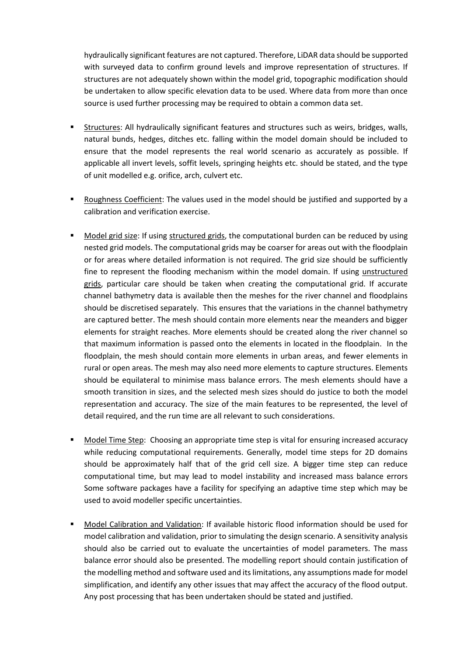hydraulically significant features are not captured. Therefore, LiDAR data should be supported with surveyed data to confirm ground levels and improve representation of structures. If structures are not adequately shown within the model grid, topographic modification should be undertaken to allow specific elevation data to be used. Where data from more than once source is used further processing may be required to obtain a common data set.

- Structures: All hydraulically significant features and structures such as weirs, bridges, walls, natural bunds, hedges, ditches etc. falling within the model domain should be included to ensure that the model represents the real world scenario as accurately as possible. If applicable all invert levels, soffit levels, springing heights etc. should be stated, and the type of unit modelled e.g. orifice, arch, culvert etc.
- Roughness Coefficient: The values used in the model should be justified and supported by a calibration and verification exercise.
- Model grid size: If using structured grids, the computational burden can be reduced by using nested grid models. The computational grids may be coarser for areas out with the floodplain or for areas where detailed information is not required. The grid size should be sufficiently fine to represent the flooding mechanism within the model domain. If using unstructured grids, particular care should be taken when creating the computational grid. If accurate channel bathymetry data is available then the meshes for the river channel and floodplains should be discretised separately. This ensures that the variations in the channel bathymetry are captured better. The mesh should contain more elements near the meanders and bigger elements for straight reaches. More elements should be created along the river channel so that maximum information is passed onto the elements in located in the floodplain. In the floodplain, the mesh should contain more elements in urban areas, and fewer elements in rural or open areas. The mesh may also need more elements to capture structures. Elements should be equilateral to minimise mass balance errors. The mesh elements should have a smooth transition in sizes, and the selected mesh sizes should do justice to both the model representation and accuracy. The size of the main features to be represented, the level of detail required, and the run time are all relevant to such considerations.
- Model Time Step: Choosing an appropriate time step is vital for ensuring increased accuracy while reducing computational requirements. Generally, model time steps for 2D domains should be approximately half that of the grid cell size. A bigger time step can reduce computational time, but may lead to model instability and increased mass balance errors Some software packages have a facility for specifying an adaptive time step which may be used to avoid modeller specific uncertainties.
- Model Calibration and Validation: If available historic flood information should be used for model calibration and validation, prior to simulating the design scenario. A sensitivity analysis should also be carried out to evaluate the uncertainties of model parameters. The mass balance error should also be presented. The modelling report should contain justification of the modelling method and software used and its limitations, any assumptions made for model simplification, and identify any other issues that may affect the accuracy of the flood output. Any post processing that has been undertaken should be stated and justified.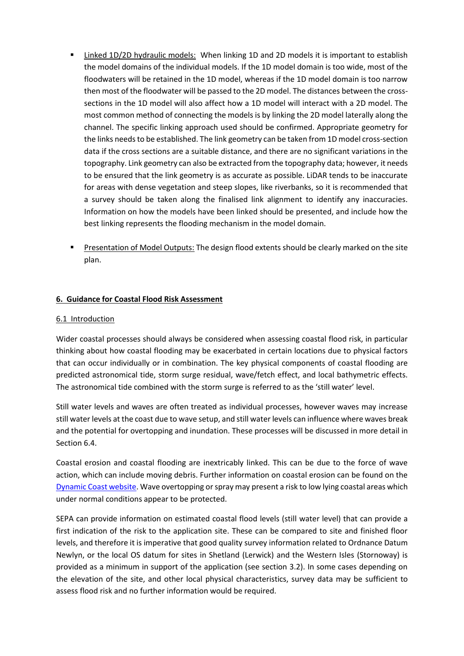- Linked 1D/2D hydraulic models: When linking 1D and 2D models it is important to establish the model domains of the individual models. If the 1D model domain is too wide, most of the floodwaters will be retained in the 1D model, whereas if the 1D model domain is too narrow then most of the floodwater will be passed to the 2D model. The distances between the crosssections in the 1D model will also affect how a 1D model will interact with a 2D model. The most common method of connecting the models is by linking the 2D model laterally along the channel. The specific linking approach used should be confirmed. Appropriate geometry for the links needs to be established. The link geometry can be taken from 1D model cross-section data if the cross sections are a suitable distance, and there are no significant variations in the topography. Link geometry can also be extracted from the topography data; however, it needs to be ensured that the link geometry is as accurate as possible. LiDAR tends to be inaccurate for areas with dense vegetation and steep slopes, like riverbanks, so it is recommended that a survey should be taken along the finalised link alignment to identify any inaccuracies. Information on how the models have been linked should be presented, and include how the best linking represents the flooding mechanism in the model domain.
- **Presentation of Model Outputs: The design flood extents should be clearly marked on the site** plan.

# **6. Guidance for Coastal Flood Risk Assessment**

## 6.1 Introduction

Wider coastal processes should always be considered when assessing coastal flood risk, in particular thinking about how coastal flooding may be exacerbated in certain locations due to physical factors that can occur individually or in combination. The key physical components of coastal flooding are predicted astronomical tide, storm surge residual, wave/fetch effect, and local bathymetric effects. The astronomical tide combined with the storm surge is referred to as the 'still water' level.

Still water levels and waves are often treated as individual processes, however waves may increase still water levels at the coast due to wave setup, and still water levels can influence where waves break and the potential for overtopping and inundation. These processes will be discussed in more detail in Section 6.4.

Coastal erosion and coastal flooding are inextricably linked. This can be due to the force of wave action, which can include moving debris. Further information on coastal erosion can be found on the [Dynamic Coast website.](http://www.dynamiccoast.com/) Wave overtopping or spray may present a risk to low lying coastal areas which under normal conditions appear to be protected.

SEPA can provide information on estimated coastal flood levels (still water level) that can provide a first indication of the risk to the application site. These can be compared to site and finished floor levels, and therefore it is imperative that good quality survey information related to Ordnance Datum Newlyn, or the local OS datum for sites in Shetland (Lerwick) and the Western Isles (Stornoway) is provided as a minimum in support of the application (see section 3.2). In some cases depending on the elevation of the site, and other local physical characteristics, survey data may be sufficient to assess flood risk and no further information would be required.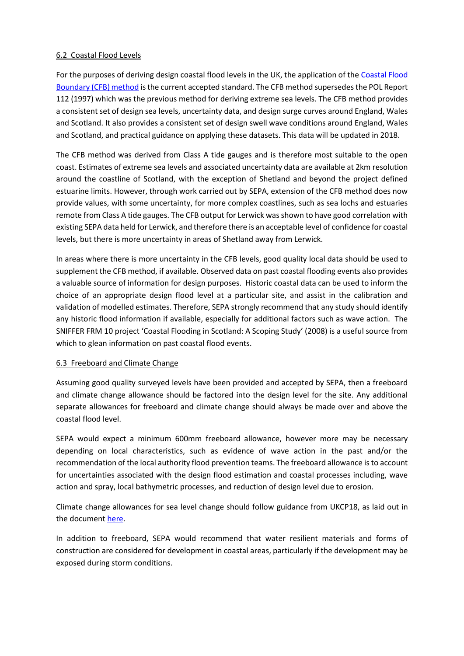## 6.2 Coastal Flood Levels

For the purposes of deriving design coastal flood levels in the UK, the application of the [Coastal Flood](https://data.gov.uk/dataset/73834283-7dc4-488a-9583-a920072d9a9d/coastal-design-sea-levels-coastal-flood-boundary-extreme-sea-levels)  [Boundary \(CFB\) method](https://data.gov.uk/dataset/73834283-7dc4-488a-9583-a920072d9a9d/coastal-design-sea-levels-coastal-flood-boundary-extreme-sea-levels) is the current accepted standard. The CFB method supersedes the POL Report 112 (1997) which was the previous method for deriving extreme sea levels. The CFB method provides a consistent set of design sea levels, uncertainty data, and design surge curves around England, Wales and Scotland. It also provides a consistent set of design swell wave conditions around England, Wales and Scotland, and practical guidance on applying these datasets. This data will be updated in 2018.

The CFB method was derived from Class A tide gauges and is therefore most suitable to the open coast. Estimates of extreme sea levels and associated uncertainty data are available at 2km resolution around the coastline of Scotland, with the exception of Shetland and beyond the project defined estuarine limits. However, through work carried out by SEPA, extension of the CFB method does now provide values, with some uncertainty, for more complex coastlines, such as sea lochs and estuaries remote from Class A tide gauges. The CFB output for Lerwick was shown to have good correlation with existing SEPA data held for Lerwick, and therefore there is an acceptable level of confidence for coastal levels, but there is more uncertainty in areas of Shetland away from Lerwick.

In areas where there is more uncertainty in the CFB levels, good quality local data should be used to supplement the CFB method, if available. Observed data on past coastal flooding events also provides a valuable source of information for design purposes. Historic coastal data can be used to inform the choice of an appropriate design flood level at a particular site, and assist in the calibration and validation of modelled estimates. Therefore, SEPA strongly recommend that any study should identify any historic flood information if available, especially for additional factors such as wave action. The SNIFFER FRM 10 project 'Coastal Flooding in Scotland: A Scoping Study' (2008) is a useful source from which to glean information on past coastal flood events.

#### 6.3 Freeboard and Climate Change

Assuming good quality surveyed levels have been provided and accepted by SEPA, then a freeboard and climate change allowance should be factored into the design level for the site. Any additional separate allowances for freeboard and climate change should always be made over and above the coastal flood level.

SEPA would expect a minimum 600mm freeboard allowance, however more may be necessary depending on local characteristics, such as evidence of wave action in the past and/or the recommendation of the local authority flood prevention teams. The freeboard allowance is to account for uncertainties associated with the design flood estimation and coastal processes including, wave action and spray, local bathymetric processes, and reduction of design level due to erosion.

Climate change allowances for sea level change should follow guidance from UKCP18, as laid out in the documen[t here.](https://www.sepa.org.uk/media/426913/lups_cc1.pdf)

In addition to freeboard, SEPA would recommend that water resilient materials and forms of construction are considered for development in coastal areas, particularly if the development may be exposed during storm conditions.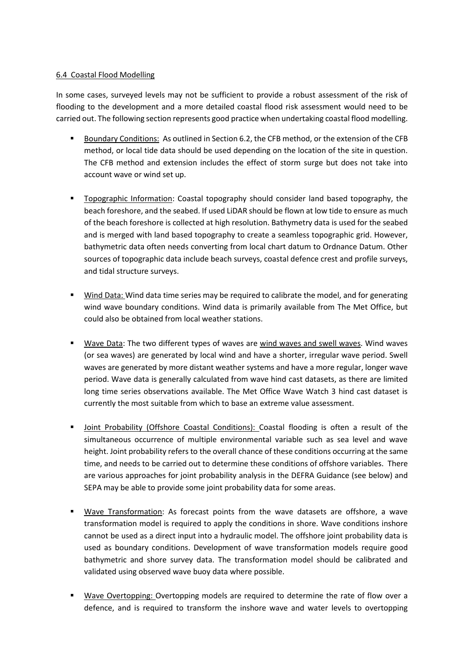## 6.4 Coastal Flood Modelling

In some cases, surveyed levels may not be sufficient to provide a robust assessment of the risk of flooding to the development and a more detailed coastal flood risk assessment would need to be carried out. The following section represents good practice when undertaking coastal flood modelling.

- Boundary Conditions: As outlined in Section 6.2, the CFB method, or the extension of the CFB method, or local tide data should be used depending on the location of the site in question. The CFB method and extension includes the effect of storm surge but does not take into account wave or wind set up.
- Topographic Information: Coastal topography should consider land based topography, the beach foreshore, and the seabed. If used LiDAR should be flown at low tide to ensure as much of the beach foreshore is collected at high resolution. Bathymetry data is used for the seabed and is merged with land based topography to create a seamless topographic grid. However, bathymetric data often needs converting from local chart datum to Ordnance Datum. Other sources of topographic data include beach surveys, coastal defence crest and profile surveys, and tidal structure surveys.
- Wind Data: Wind data time series may be required to calibrate the model, and for generating wind wave boundary conditions. Wind data is primarily available from The Met Office, but could also be obtained from local weather stations.
- Wave Data: The two different types of waves are wind waves and swell waves. Wind waves (or sea waves) are generated by local wind and have a shorter, irregular wave period. Swell waves are generated by more distant weather systems and have a more regular, longer wave period. Wave data is generally calculated from wave hind cast datasets, as there are limited long time series observations available. The Met Office Wave Watch 3 hind cast dataset is currently the most suitable from which to base an extreme value assessment.
- Joint Probability (Offshore Coastal Conditions): Coastal flooding is often a result of the simultaneous occurrence of multiple environmental variable such as sea level and wave height. Joint probability refers to the overall chance of these conditions occurring at the same time, and needs to be carried out to determine these conditions of offshore variables. There are various approaches for joint probability analysis in the DEFRA Guidance (see below) and SEPA may be able to provide some joint probability data for some areas.
- **Wave Transformation:** As forecast points from the wave datasets are offshore, a wave transformation model is required to apply the conditions in shore. Wave conditions inshore cannot be used as a direct input into a hydraulic model. The offshore joint probability data is used as boundary conditions. Development of wave transformation models require good bathymetric and shore survey data. The transformation model should be calibrated and validated using observed wave buoy data where possible.
- **Wave Overtopping: Overtopping models are required to determine the rate of flow over a** defence, and is required to transform the inshore wave and water levels to overtopping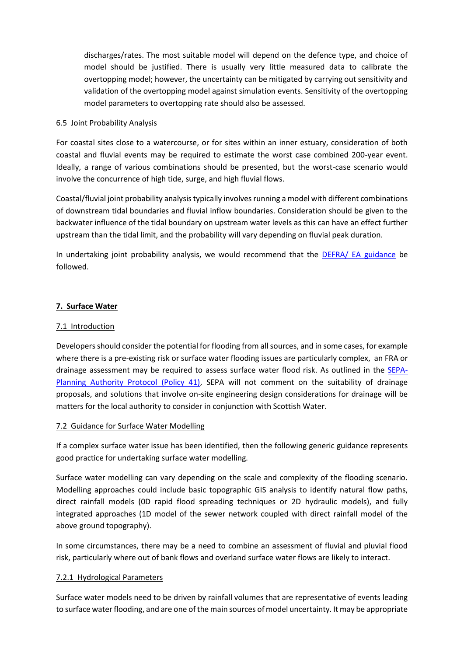discharges/rates. The most suitable model will depend on the defence type, and choice of model should be justified. There is usually very little measured data to calibrate the overtopping model; however, the uncertainty can be mitigated by carrying out sensitivity and validation of the overtopping model against simulation events. Sensitivity of the overtopping model parameters to overtopping rate should also be assessed.

## 6.5 Joint Probability Analysis

For coastal sites close to a watercourse, or for sites within an inner estuary, consideration of both coastal and fluvial events may be required to estimate the worst case combined 200-year event. Ideally, a range of various combinations should be presented, but the worst-case scenario would involve the concurrence of high tide, surge, and high fluvial flows.

Coastal/fluvial joint probability analysis typically involves running a model with different combinations of downstream tidal boundaries and fluvial inflow boundaries. Consideration should be given to the backwater influence of the tidal boundary on upstream water levels as this can have an effect further upstream than the tidal limit, and the probability will vary depending on fluvial peak duration.

In undertaking joint probability analysis, we would recommend that the [DEFRA/ EA guidance](http://www.estuary-guide.net/pdfs/FD2308_3429_TRP.pdf) be followed.

# **7. Surface Water**

# 7.1 Introduction

Developers should consider the potential for flooding from all sources, and in some cases, for example where there is a pre-existing risk or surface water flooding issues are particularly complex, an FRA or drainage assessment may be required to assess surface water flood risk. As outlined in the **SEPA-**[Planning Authority Protocol \(Policy 41\),](https://www.sepa.org.uk/media/136143/sepa-planning-authority-protocol-41.pdf) SEPA will not comment on the suitability of drainage proposals, and solutions that involve on-site engineering design considerations for drainage will be matters for the local authority to consider in conjunction with Scottish Water.

# 7.2 Guidance for Surface Water Modelling

If a complex surface water issue has been identified, then the following generic guidance represents good practice for undertaking surface water modelling.

Surface water modelling can vary depending on the scale and complexity of the flooding scenario. Modelling approaches could include basic topographic GIS analysis to identify natural flow paths, direct rainfall models (0D rapid flood spreading techniques or 2D hydraulic models), and fully integrated approaches (1D model of the sewer network coupled with direct rainfall model of the above ground topography).

In some circumstances, there may be a need to combine an assessment of fluvial and pluvial flood risk, particularly where out of bank flows and overland surface water flows are likely to interact.

# 7.2.1 Hydrological Parameters

Surface water models need to be driven by rainfall volumes that are representative of events leading to surface water flooding, and are one of the main sources of model uncertainty. It may be appropriate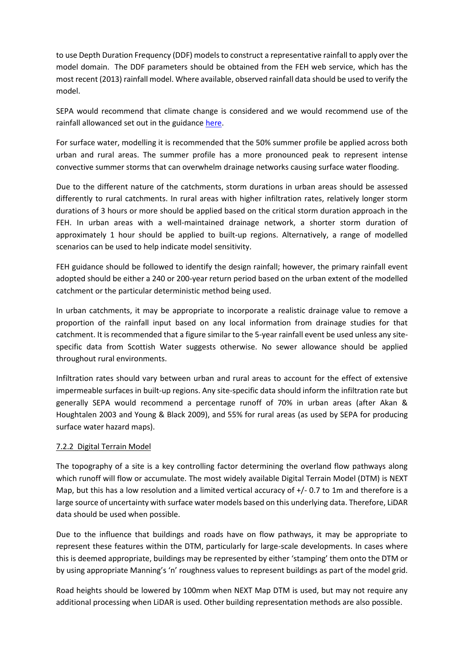to use Depth Duration Frequency (DDF) models to construct a representative rainfall to apply over the model domain. The DDF parameters should be obtained from the FEH web service, which has the most recent (2013) rainfall model. Where available, observed rainfall data should be used to verify the model.

SEPA would recommend that climate change is considered and we would recommend use of the rainfall allowanced set out in the guidance [here.](https://www.sepa.org.uk/media/426913/lups_cc1.pdf)

For surface water, modelling it is recommended that the 50% summer profile be applied across both urban and rural areas. The summer profile has a more pronounced peak to represent intense convective summer storms that can overwhelm drainage networks causing surface water flooding.

Due to the different nature of the catchments, storm durations in urban areas should be assessed differently to rural catchments. In rural areas with higher infiltration rates, relatively longer storm durations of 3 hours or more should be applied based on the critical storm duration approach in the FEH. In urban areas with a well-maintained drainage network, a shorter storm duration of approximately 1 hour should be applied to built-up regions. Alternatively, a range of modelled scenarios can be used to help indicate model sensitivity.

FEH guidance should be followed to identify the design rainfall; however, the primary rainfall event adopted should be either a 240 or 200-year return period based on the urban extent of the modelled catchment or the particular deterministic method being used.

In urban catchments, it may be appropriate to incorporate a realistic drainage value to remove a proportion of the rainfall input based on any local information from drainage studies for that catchment. It is recommended that a figure similar to the 5-year rainfall event be used unless any sitespecific data from Scottish Water suggests otherwise. No sewer allowance should be applied throughout rural environments.

Infiltration rates should vary between urban and rural areas to account for the effect of extensive impermeable surfaces in built-up regions. Any site-specific data should inform the infiltration rate but generally SEPA would recommend a percentage runoff of 70% in urban areas (after Akan & Houghtalen 2003 and Young & Black 2009), and 55% for rural areas (as used by SEPA for producing surface water hazard maps).

# 7.2.2 Digital Terrain Model

The topography of a site is a key controlling factor determining the overland flow pathways along which runoff will flow or accumulate. The most widely available Digital Terrain Model (DTM) is NEXT Map, but this has a low resolution and a limited vertical accuracy of +/- 0.7 to 1m and therefore is a large source of uncertainty with surface water models based on this underlying data. Therefore, LiDAR data should be used when possible.

Due to the influence that buildings and roads have on flow pathways, it may be appropriate to represent these features within the DTM, particularly for large-scale developments. In cases where this is deemed appropriate, buildings may be represented by either 'stamping' them onto the DTM or by using appropriate Manning's 'n' roughness values to represent buildings as part of the model grid.

Road heights should be lowered by 100mm when NEXT Map DTM is used, but may not require any additional processing when LiDAR is used. Other building representation methods are also possible.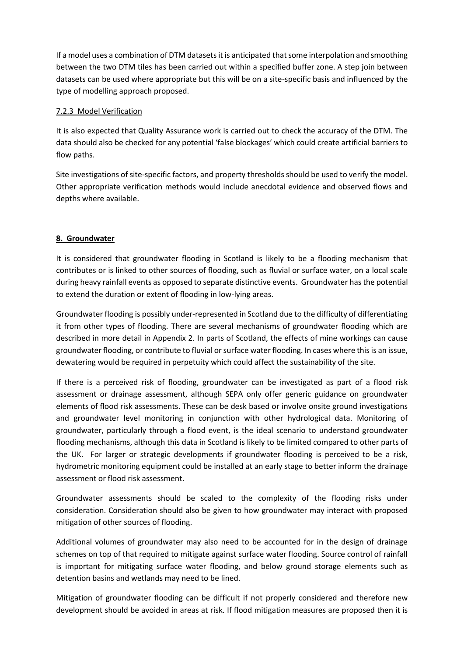If a model uses a combination of DTM datasets it is anticipated that some interpolation and smoothing between the two DTM tiles has been carried out within a specified buffer zone. A step join between datasets can be used where appropriate but this will be on a site-specific basis and influenced by the type of modelling approach proposed.

## 7.2.3 Model Verification

It is also expected that Quality Assurance work is carried out to check the accuracy of the DTM. The data should also be checked for any potential 'false blockages' which could create artificial barriers to flow paths.

Site investigations of site-specific factors, and property thresholds should be used to verify the model. Other appropriate verification methods would include anecdotal evidence and observed flows and depths where available.

# **8. Groundwater**

It is considered that groundwater flooding in Scotland is likely to be a flooding mechanism that contributes or is linked to other sources of flooding, such as fluvial or surface water, on a local scale during heavy rainfall events as opposed to separate distinctive events. Groundwater has the potential to extend the duration or extent of flooding in low-lying areas.

Groundwater flooding is possibly under-represented in Scotland due to the difficulty of differentiating it from other types of flooding. There are several mechanisms of groundwater flooding which are described in more detail in Appendix 2. In parts of Scotland, the effects of mine workings can cause groundwater flooding, or contribute to fluvial or surface water flooding. In cases where this is an issue, dewatering would be required in perpetuity which could affect the sustainability of the site.

If there is a perceived risk of flooding, groundwater can be investigated as part of a flood risk assessment or drainage assessment, although SEPA only offer generic guidance on groundwater elements of flood risk assessments. These can be desk based or involve onsite ground investigations and groundwater level monitoring in conjunction with other hydrological data. Monitoring of groundwater, particularly through a flood event, is the ideal scenario to understand groundwater flooding mechanisms, although this data in Scotland is likely to be limited compared to other parts of the UK. For larger or strategic developments if groundwater flooding is perceived to be a risk, hydrometric monitoring equipment could be installed at an early stage to better inform the drainage assessment or flood risk assessment.

Groundwater assessments should be scaled to the complexity of the flooding risks under consideration. Consideration should also be given to how groundwater may interact with proposed mitigation of other sources of flooding.

Additional volumes of groundwater may also need to be accounted for in the design of drainage schemes on top of that required to mitigate against surface water flooding. Source control of rainfall is important for mitigating surface water flooding, and below ground storage elements such as detention basins and wetlands may need to be lined.

Mitigation of groundwater flooding can be difficult if not properly considered and therefore new development should be avoided in areas at risk. If flood mitigation measures are proposed then it is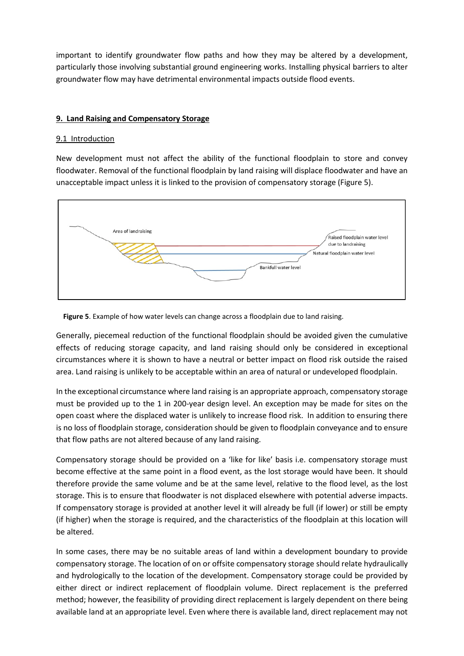important to identify groundwater flow paths and how they may be altered by a development, particularly those involving substantial ground engineering works. Installing physical barriers to alter groundwater flow may have detrimental environmental impacts outside flood events.

## **9. Land Raising and Compensatory Storage**

## 9.1 Introduction

New development must not affect the ability of the functional floodplain to store and convey floodwater. Removal of the functional floodplain by land raising will displace floodwater and have an unacceptable impact unless it is linked to the provision of compensatory storage (Figure 5).





Generally, piecemeal reduction of the functional floodplain should be avoided given the cumulative effects of reducing storage capacity, and land raising should only be considered in exceptional circumstances where it is shown to have a neutral or better impact on flood risk outside the raised area. Land raising is unlikely to be acceptable within an area of natural or undeveloped floodplain.

In the exceptional circumstance where land raising is an appropriate approach, compensatory storage must be provided up to the 1 in 200-year design level. An exception may be made for sites on the open coast where the displaced water is unlikely to increase flood risk. In addition to ensuring there is no loss of floodplain storage, consideration should be given to floodplain conveyance and to ensure that flow paths are not altered because of any land raising.

Compensatory storage should be provided on a 'like for like' basis i.e. compensatory storage must become effective at the same point in a flood event, as the lost storage would have been. It should therefore provide the same volume and be at the same level, relative to the flood level, as the lost storage. This is to ensure that floodwater is not displaced elsewhere with potential adverse impacts. If compensatory storage is provided at another level it will already be full (if lower) or still be empty (if higher) when the storage is required, and the characteristics of the floodplain at this location will be altered.

In some cases, there may be no suitable areas of land within a development boundary to provide compensatory storage. The location of on or offsite compensatory storage should relate hydraulically and hydrologically to the location of the development. Compensatory storage could be provided by either direct or indirect replacement of floodplain volume. Direct replacement is the preferred method; however, the feasibility of providing direct replacement is largely dependent on there being available land at an appropriate level. Even where there is available land, direct replacement may not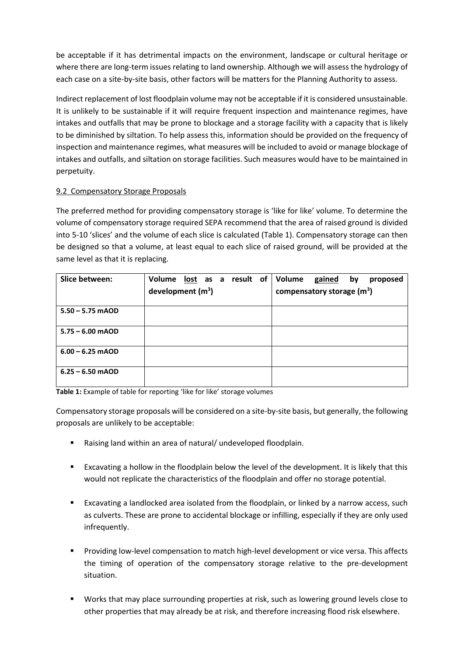be acceptable if it has detrimental impacts on the environment, landscape or cultural heritage or where there are long-term issues relating to land ownership. Although we will assess the hydrology of each case on a site-by-site basis, other factors will be matters for the Planning Authority to assess.

Indirect replacement of lost floodplain volume may not be acceptable if it is considered unsustainable. It is unlikely to be sustainable if it will require frequent inspection and maintenance regimes, have intakes and outfalls that may be prone to blockage and a storage facility with a capacity that is likely to be diminished by siltation. To help assess this, information should be provided on the frequency of inspection and maintenance regimes, what measures will be included to avoid or manage blockage of intakes and outfalls, and siltation on storage facilities. Such measures would have to be maintained in perpetuity.

# 9.2 Compensatory Storage Proposals

The preferred method for providing compensatory storage is 'like for like' volume. To determine the volume of compensatory storage required SEPA recommend that the area of raised ground is divided into 5-10 'slices' and the volume of each slice is calculated (Table 1). Compensatory storage can then be designed so that a volume, at least equal to each slice of raised ground, will be provided at the same level as that it is replacing.

| Slice between:     | Volume lost as a<br>development $(m^3)$ |  | result of | Volume | gained<br>compensatory storage $(m^3)$ | by | proposed |
|--------------------|-----------------------------------------|--|-----------|--------|----------------------------------------|----|----------|
| $5.50 - 5.75$ mAOD |                                         |  |           |        |                                        |    |          |
| $5.75 - 6.00$ mAOD |                                         |  |           |        |                                        |    |          |
| $6.00 - 6.25$ mAOD |                                         |  |           |        |                                        |    |          |
| $6.25 - 6.50$ mAOD |                                         |  |           |        |                                        |    |          |

**Table 1:** Example of table for reporting 'like for like' storage volumes

Compensatory storage proposals will be considered on a site-by-site basis, but generally, the following proposals are unlikely to be acceptable:

- Raising land within an area of natural/ undeveloped floodplain.
- Excavating a hollow in the floodplain below the level of the development. It is likely that this would not replicate the characteristics of the floodplain and offer no storage potential.
- Excavating a landlocked area isolated from the floodplain, or linked by a narrow access, such as culverts. These are prone to accidental blockage or infilling, especially if they are only used infrequently.
- Providing low-level compensation to match high-level development or vice versa. This affects the timing of operation of the compensatory storage relative to the pre-development situation.
- Works that may place surrounding properties at risk, such as lowering ground levels close to other properties that may already be at risk, and therefore increasing flood risk elsewhere.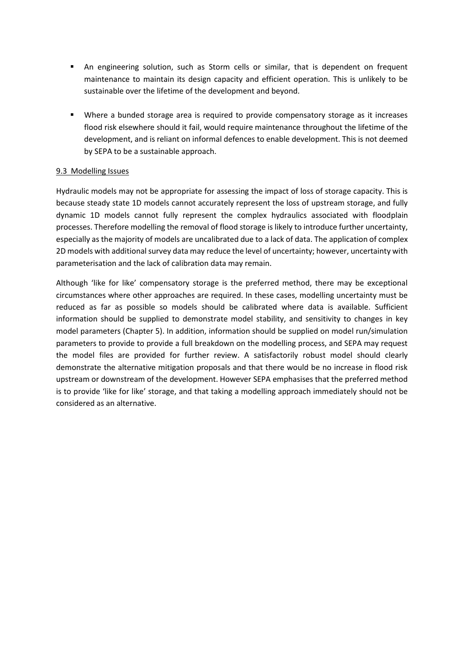- An engineering solution, such as Storm cells or similar, that is dependent on frequent maintenance to maintain its design capacity and efficient operation. This is unlikely to be sustainable over the lifetime of the development and beyond.
- Where a bunded storage area is required to provide compensatory storage as it increases flood risk elsewhere should it fail, would require maintenance throughout the lifetime of the development, and is reliant on informal defences to enable development. This is not deemed by SEPA to be a sustainable approach.

## 9.3 Modelling Issues

Hydraulic models may not be appropriate for assessing the impact of loss of storage capacity. This is because steady state 1D models cannot accurately represent the loss of upstream storage, and fully dynamic 1D models cannot fully represent the complex hydraulics associated with floodplain processes. Therefore modelling the removal of flood storage is likely to introduce further uncertainty, especially as the majority of models are uncalibrated due to a lack of data. The application of complex 2D models with additional survey data may reduce the level of uncertainty; however, uncertainty with parameterisation and the lack of calibration data may remain.

Although 'like for like' compensatory storage is the preferred method, there may be exceptional circumstances where other approaches are required. In these cases, modelling uncertainty must be reduced as far as possible so models should be calibrated where data is available. Sufficient information should be supplied to demonstrate model stability, and sensitivity to changes in key model parameters (Chapter 5). In addition, information should be supplied on model run/simulation parameters to provide to provide a full breakdown on the modelling process, and SEPA may request the model files are provided for further review. A satisfactorily robust model should clearly demonstrate the alternative mitigation proposals and that there would be no increase in flood risk upstream or downstream of the development. However SEPA emphasises that the preferred method is to provide 'like for like' storage, and that taking a modelling approach immediately should not be considered as an alternative.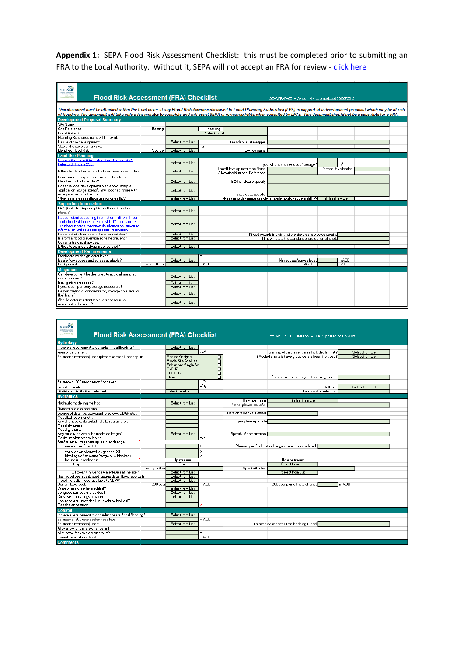Appendix 1: SEPA Flood Risk Assessment Checklist: this must be completed prior to submitting an FRA to the Local Authority. Without it, SEPA will not accept an FRA for review - [click here](https://www.sepa.org.uk/media/159170/flood-risk-assessment-checklist.xlsx)

| <b>SEPAP</b><br>cattish Environme<br>Protection Ages<br><b>Flood Risk Assessment (FRA) Checklist</b><br><b>Buildings Corp</b><br>(SS-NFR-F-001-Version 14 - Last updated 28/05/2019      |               |                  |                  |                                                              |                                                                  |                      |  |  |
|------------------------------------------------------------------------------------------------------------------------------------------------------------------------------------------|---------------|------------------|------------------|--------------------------------------------------------------|------------------------------------------------------------------|----------------------|--|--|
|                                                                                                                                                                                          |               |                  |                  |                                                              |                                                                  |                      |  |  |
|                                                                                                                                                                                          |               |                  |                  |                                                              |                                                                  |                      |  |  |
| This document must be attached within the front cover of any Flood Risk Assessments issued to Local Planning Authorities (LPA) in support of a development proposal which may be at risk |               |                  |                  |                                                              |                                                                  |                      |  |  |
| of flooding. The document will take only a few minutes to complete and will assist SEPA in reviewing FRAs, when consulted by LPAs. This document should not be a substitute for a FRA.   |               |                  |                  |                                                              |                                                                  |                      |  |  |
| <b>Development Proposal Summary</b>                                                                                                                                                      |               |                  |                  |                                                              |                                                                  |                      |  |  |
| Site Name:                                                                                                                                                                               |               |                  |                  |                                                              |                                                                  |                      |  |  |
| Grid Reference:                                                                                                                                                                          | Easting       |                  | Northina:        |                                                              |                                                                  |                      |  |  |
| Local Authority:                                                                                                                                                                         |               |                  | Select from List |                                                              |                                                                  |                      |  |  |
| Planning Reference number (if known):                                                                                                                                                    |               |                  |                  |                                                              |                                                                  |                      |  |  |
| Nature of the development:                                                                                                                                                               |               | Select from List |                  | If residential, state type:                                  |                                                                  |                      |  |  |
| Size of the development site:                                                                                                                                                            |               |                  | Ha               |                                                              |                                                                  |                      |  |  |
| Identified Flood Risk:                                                                                                                                                                   | Source:       | Select from List |                  | Source name:                                                 |                                                                  |                      |  |  |
| <b>Land Use Planning</b>                                                                                                                                                                 |               |                  |                  |                                                              |                                                                  |                      |  |  |
| Is any of the site within the functional floodplain?                                                                                                                                     |               | Select from List |                  |                                                              |                                                                  |                      |  |  |
| frefer to SPP para 2551                                                                                                                                                                  |               |                  |                  |                                                              | If yes, what is the net loss of storage?                         | m <sup>3</sup>       |  |  |
| Is the site identified within the local development plan?                                                                                                                                |               | Select from List |                  | Local Development Plan Name<br>Allocation Number / Reference |                                                                  | Year of Publication: |  |  |
|                                                                                                                                                                                          |               |                  |                  |                                                              |                                                                  |                      |  |  |
| If yes, what is the proposed use for the site as<br>identified in the local plan?                                                                                                        |               | Select from List |                  | If Other please specify:                                     |                                                                  |                      |  |  |
| Does the local development plan and/or any pre-                                                                                                                                          |               |                  |                  |                                                              |                                                                  |                      |  |  |
| application advice, identify any flood risk issues with                                                                                                                                  |               | Select from List |                  |                                                              |                                                                  |                      |  |  |
| or requirements for the site.                                                                                                                                                            |               |                  |                  | lf so, please specifu:                                       |                                                                  |                      |  |  |
| What is the proposed land use vulnerability?                                                                                                                                             |               | Select from List |                  |                                                              | the proposals represent an increase in land use vulnerability?   | Select from List     |  |  |
| <b>Supporting Information</b>                                                                                                                                                            |               |                  |                  |                                                              |                                                                  |                      |  |  |
| FRA (including topographic and flood inundation<br>plans)?                                                                                                                               |               | Select from List |                  |                                                              |                                                                  |                      |  |  |
| Has sufficient supporting information, in line with our.<br>Technical Guidance, been provided? For example:                                                                              |               |                  |                  |                                                              |                                                                  |                      |  |  |
| site plans, photos, topographic information, structure                                                                                                                                   |               | Select from List |                  |                                                              |                                                                  |                      |  |  |
| information and other site specific information.                                                                                                                                         |               |                  |                  |                                                              |                                                                  |                      |  |  |
| Has a historic flood search been undertaken?                                                                                                                                             |               | Select from List |                  |                                                              | If flood records in vicinity of the site please provide details: |                      |  |  |
| Is a formal flood prevention scheme present?                                                                                                                                             |               | Select from List |                  |                                                              | If known, state the standard of protection offered:              |                      |  |  |
| Current / historical site use:                                                                                                                                                           |               |                  |                  |                                                              |                                                                  |                      |  |  |
| Is the site considered vacant or derelict?                                                                                                                                               |               | Select from List |                  |                                                              |                                                                  |                      |  |  |
| <b>Development Requirements</b>                                                                                                                                                          |               |                  |                  |                                                              |                                                                  |                      |  |  |
| Freeboard on design water level:                                                                                                                                                         |               |                  | m                |                                                              |                                                                  |                      |  |  |
| Is safe / dry access and egress available?                                                                                                                                               |               | Select from List |                  |                                                              | Min access/egress level:                                         | m AOD                |  |  |
| Design levels:                                                                                                                                                                           | Ground level: |                  | m AOD            |                                                              | Min FFL:                                                         | mAOD                 |  |  |
| <b>Mitigation</b>                                                                                                                                                                        |               |                  |                  |                                                              |                                                                  |                      |  |  |
| Can development be designed to avoid all areas at<br>risk of flooding?                                                                                                                   |               | Select from List |                  |                                                              |                                                                  |                      |  |  |
| Is mitigation proposed?                                                                                                                                                                  |               | Select from List |                  |                                                              |                                                                  |                      |  |  |
| If yes, is compenstory storage necessary?                                                                                                                                                |               | Select from List |                  |                                                              |                                                                  |                      |  |  |
| Demonstration of compensatory storage on a "like for                                                                                                                                     |               |                  |                  |                                                              |                                                                  |                      |  |  |
| like" basis?                                                                                                                                                                             |               | Select from List |                  |                                                              |                                                                  |                      |  |  |
| Should water resistant materials and forms of<br>construction be used?                                                                                                                   |               | Select from List |                  |                                                              |                                                                  |                      |  |  |
|                                                                                                                                                                                          |               |                  |                  |                                                              |                                                                  |                      |  |  |

| <b>SEPAP</b><br><b>Flood Risk Assessment (FRA) Checklist</b><br><b>Busham Die</b> |                  |                                         |                   |                           | (SS-NFR-F-001 - Version 14 - Last updated 28/05/2019 |                        |                  |  |
|-----------------------------------------------------------------------------------|------------------|-----------------------------------------|-------------------|---------------------------|------------------------------------------------------|------------------------|------------------|--|
| <b>Hydrology</b>                                                                  |                  |                                         |                   |                           |                                                      |                        |                  |  |
| Is there a requirement to consider fluvial flooding?                              |                  | Select from List                        |                   |                           |                                                      |                        |                  |  |
|                                                                                   |                  |                                         | km <sup>2</sup>   |                           |                                                      |                        |                  |  |
| Area of catchment:                                                                |                  |                                         |                   |                           | Is a map of catchment area included in FRA?          |                        | Select from List |  |
| Estimation method(s) used (please select all that apply):                         |                  | Pooled Analysis<br>Single Site Analysis | п                 |                           | If Pooled analysis have group details been included? |                        | Select from List |  |
|                                                                                   |                  | Enhanced Single Sit                     | $\overline{\Box}$ |                           |                                                      |                        |                  |  |
|                                                                                   |                  | ReFH <sub>2</sub>                       | п<br>п            |                           |                                                      |                        |                  |  |
|                                                                                   |                  | <b>FEH RRM</b>                          | п                 |                           |                                                      |                        |                  |  |
|                                                                                   |                  | Other                                   | п                 |                           | If other (please specify methodology used):          |                        |                  |  |
| Estimate of 200 year design flood flow:                                           |                  |                                         | $m^3/s$           |                           |                                                      |                        |                  |  |
|                                                                                   |                  |                                         | $m3$ /s           |                           |                                                      |                        |                  |  |
| Omed estimate:                                                                    |                  |                                         |                   |                           |                                                      | Method:                | Select from List |  |
| Statistical Distribution Selected:                                                |                  | Select from List                        |                   |                           |                                                      | Reasons for selection: |                  |  |
| <b>Hydraulics</b>                                                                 |                  |                                         |                   |                           |                                                      |                        |                  |  |
| Hudraulic modelling method:                                                       |                  | Select from List                        |                   | Software used:            | Select from List                                     |                        |                  |  |
|                                                                                   |                  |                                         |                   | If other please specify:  |                                                      |                        |                  |  |
| Number of cross sections:                                                         |                  |                                         |                   |                           |                                                      |                        |                  |  |
| Source of data (i.e. topographic survey, LiDAR etc):                              |                  |                                         |                   | Date obtained / surveved: |                                                      |                        |                  |  |
| Modelled reach length:                                                            |                  |                                         | m                 | It ves please provide     |                                                      |                        |                  |  |
| Any changes to default simulation parameters?<br>Model timestep:                  |                  |                                         |                   |                           |                                                      |                        |                  |  |
| Model grid size:                                                                  |                  |                                         |                   |                           |                                                      |                        |                  |  |
| Any structures within the modelled length?                                        |                  | Select from List                        |                   | Specify, if combination:  |                                                      |                        |                  |  |
| Maximum observed velocity:                                                        |                  |                                         | mis               |                           |                                                      |                        |                  |  |
| Brief summary of sensitivity tests, and range:                                    |                  |                                         |                   |                           |                                                      |                        |                  |  |
| variation on flow [Z]                                                             |                  |                                         |                   |                           | Please specify climate change scenario considered:   |                        |                  |  |
|                                                                                   |                  |                                         |                   |                           |                                                      |                        |                  |  |
| variation on channel roughness (%)                                                |                  |                                         | ×                 |                           |                                                      |                        |                  |  |
| blockage of structure (range of % blocked)                                        |                  |                                         | z                 |                           |                                                      |                        |                  |  |
| boundary conditions:                                                              |                  | <b>Upstream</b><br>Flow                 |                   |                           | Dovnstream<br>Select from List                       |                        |                  |  |
| (1) type                                                                          | Specifu if other |                                         |                   | Specify if other:         |                                                      |                        |                  |  |
| [2] does it influence water levels at the site?                                   |                  | Select from List                        |                   |                           | Select from List                                     |                        |                  |  |
| Has model been calibrated (gauge data / flood records)?                           |                  | Select from List                        |                   |                           |                                                      |                        |                  |  |
| Is the hudraulic model available to SEPA?                                         |                  | Select from List                        |                   |                           |                                                      |                        |                  |  |
| Desian flood levels:                                                              | 200 year         |                                         | m AOD             |                           | 200 year plus climate change                         |                        | m AOD            |  |
| Cross section results provided?                                                   |                  | Select from List                        |                   |                           |                                                      |                        |                  |  |
| Long section results provided?                                                    |                  | Select from List                        |                   |                           |                                                      |                        |                  |  |
| Cross section ratings provided?                                                   |                  | Select from List                        |                   |                           |                                                      |                        |                  |  |
| Tabular output provided (i.e. levels, velocities)?                                |                  |                                         |                   |                           |                                                      |                        |                  |  |
| Mass balance error:                                                               |                  |                                         |                   |                           |                                                      |                        |                  |  |
| Coastal                                                                           |                  |                                         |                   |                           |                                                      |                        |                  |  |
| Is there a requirement to consider coastal / tidal flooding?                      |                  | Select from List                        |                   |                           |                                                      |                        |                  |  |
| Estimate of 200 year design flood level:                                          |                  |                                         | m AOD             |                           |                                                      |                        |                  |  |
| Estimation method(s) used:                                                        |                  | Select from List                        |                   |                           | If other please specify methodology used:            |                        |                  |  |
| Allow ance for climate change (m):                                                |                  |                                         | m.                |                           |                                                      |                        |                  |  |
| Allow ance for wave action etc (m):                                               |                  |                                         | m.                |                           |                                                      |                        |                  |  |
| Overall design flood level:                                                       |                  |                                         | m AOD             |                           |                                                      |                        |                  |  |
|                                                                                   |                  |                                         |                   |                           |                                                      |                        |                  |  |
| <b>Comments</b>                                                                   |                  |                                         |                   |                           |                                                      |                        |                  |  |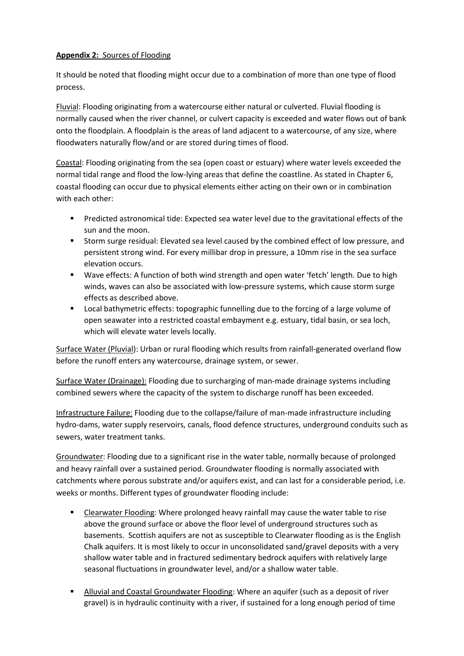# **Appendix 2:** Sources of Flooding

It should be noted that flooding might occur due to a combination of more than one type of flood process.

Fluvial: Flooding originating from a watercourse either natural or culverted. Fluvial flooding is normally caused when the river channel, or culvert capacity is exceeded and water flows out of bank onto the floodplain. A floodplain is the areas of land adjacent to a watercourse, of any size, where floodwaters naturally flow/and or are stored during times of flood.

Coastal: Flooding originating from the sea (open coast or estuary) where water levels exceeded the normal tidal range and flood the low-lying areas that define the coastline. As stated in Chapter 6, coastal flooding can occur due to physical elements either acting on their own or in combination with each other:

- Predicted astronomical tide: Expected sea water level due to the gravitational effects of the sun and the moon.
- Storm surge residual: Elevated sea level caused by the combined effect of low pressure, and persistent strong wind. For every millibar drop in pressure, a 10mm rise in the sea surface elevation occurs.
- Wave effects: A function of both wind strength and open water 'fetch' length. Due to high winds, waves can also be associated with low-pressure systems, which cause storm surge effects as described above.
- **Local bathymetric effects: topographic funnelling due to the forcing of a large volume of** open seawater into a restricted coastal embayment e.g. estuary, tidal basin, or sea loch, which will elevate water levels locally.

Surface Water (Pluvial): Urban or rural flooding which results from rainfall-generated overland flow before the runoff enters any watercourse, drainage system, or sewer.

Surface Water (Drainage): Flooding due to surcharging of man-made drainage systems including combined sewers where the capacity of the system to discharge runoff has been exceeded.

Infrastructure Failure: Flooding due to the collapse/failure of man-made infrastructure including hydro-dams, water supply reservoirs, canals, flood defence structures, underground conduits such as sewers, water treatment tanks.

Groundwater: Flooding due to a significant rise in the water table, normally because of prolonged and heavy rainfall over a sustained period. Groundwater flooding is normally associated with catchments where porous substrate and/or aquifers exist, and can last for a considerable period, i.e. weeks or months. Different types of groundwater flooding include:

- **EXEC** Clearwater Flooding: Where prolonged heavy rainfall may cause the water table to rise above the ground surface or above the floor level of underground structures such as basements. Scottish aquifers are not as susceptible to Clearwater flooding as is the English Chalk aquifers. It is most likely to occur in unconsolidated sand/gravel deposits with a very shallow water table and in fractured sedimentary bedrock aquifers with relatively large seasonal fluctuations in groundwater level, and/or a shallow water table.
- **Alluvial and Coastal Groundwater Flooding: Where an aquifer (such as a deposit of river** gravel) is in hydraulic continuity with a river, if sustained for a long enough period of time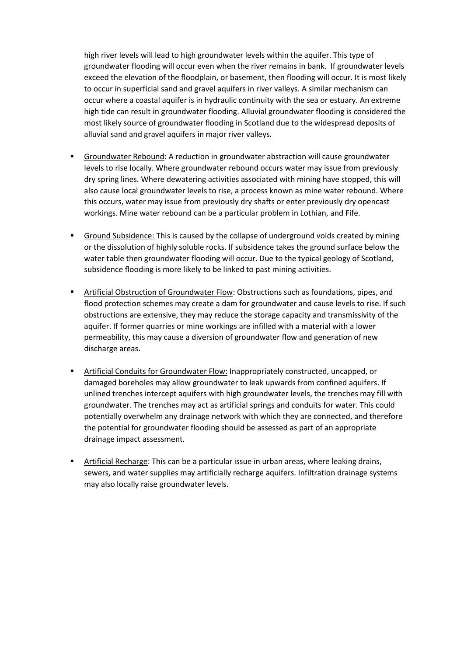high river levels will lead to high groundwater levels within the aquifer. This type of groundwater flooding will occur even when the river remains in bank. If groundwater levels exceed the elevation of the floodplain, or basement, then flooding will occur. It is most likely to occur in superficial sand and gravel aquifers in river valleys. A similar mechanism can occur where a coastal aquifer is in hydraulic continuity with the sea or estuary. An extreme high tide can result in groundwater flooding. Alluvial groundwater flooding is considered the most likely source of groundwater flooding in Scotland due to the widespread deposits of alluvial sand and gravel aquifers in major river valleys.

- Groundwater Rebound: A reduction in groundwater abstraction will cause groundwater levels to rise locally. Where groundwater rebound occurs water may issue from previously dry spring lines. Where dewatering activities associated with mining have stopped, this will also cause local groundwater levels to rise, a process known as mine water rebound. Where this occurs, water may issue from previously dry shafts or enter previously dry opencast workings. Mine water rebound can be a particular problem in Lothian, and Fife.
- Ground Subsidence: This is caused by the collapse of underground voids created by mining or the dissolution of highly soluble rocks. If subsidence takes the ground surface below the water table then groundwater flooding will occur. Due to the typical geology of Scotland, subsidence flooding is more likely to be linked to past mining activities.
- Artificial Obstruction of Groundwater Flow: Obstructions such as foundations, pipes, and flood protection schemes may create a dam for groundwater and cause levels to rise. If such obstructions are extensive, they may reduce the storage capacity and transmissivity of the aquifer. If former quarries or mine workings are infilled with a material with a lower permeability, this may cause a diversion of groundwater flow and generation of new discharge areas.
- Artificial Conduits for Groundwater Flow: Inappropriately constructed, uncapped, or damaged boreholes may allow groundwater to leak upwards from confined aquifers. If unlined trenches intercept aquifers with high groundwater levels, the trenches may fill with groundwater. The trenches may act as artificial springs and conduits for water. This could potentially overwhelm any drainage network with which they are connected, and therefore the potential for groundwater flooding should be assessed as part of an appropriate drainage impact assessment.
- Artificial Recharge: This can be a particular issue in urban areas, where leaking drains, sewers, and water supplies may artificially recharge aquifers. Infiltration drainage systems may also locally raise groundwater levels.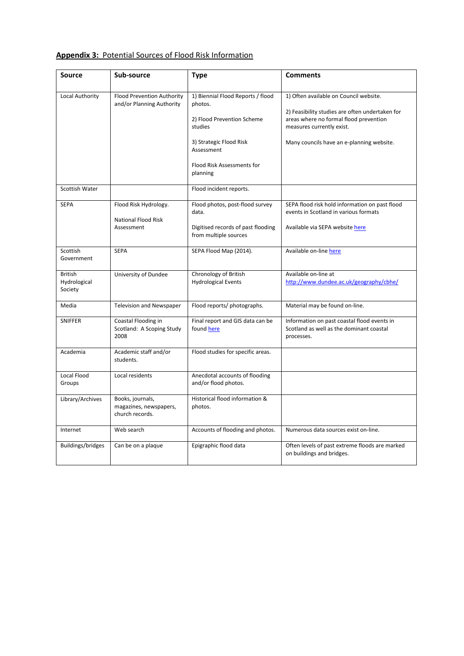| <b>Source</b>                             | Sub-source                                                    | <b>Type</b>                                                                                                                    | <b>Comments</b>                                                                                                                                                                                               |
|-------------------------------------------|---------------------------------------------------------------|--------------------------------------------------------------------------------------------------------------------------------|---------------------------------------------------------------------------------------------------------------------------------------------------------------------------------------------------------------|
|                                           |                                                               |                                                                                                                                |                                                                                                                                                                                                               |
| Local Authority                           | Flood Prevention Authority<br>and/or Planning Authority       | 1) Biennial Flood Reports / flood<br>photos.<br>2) Flood Prevention Scheme<br>studies<br>3) Strategic Flood Risk<br>Assessment | 1) Often available on Council website.<br>2) Feasibility studies are often undertaken for<br>areas where no formal flood prevention<br>measures currently exist.<br>Many councils have an e-planning website. |
|                                           |                                                               | Flood Risk Assessments for<br>planning                                                                                         |                                                                                                                                                                                                               |
| <b>Scottish Water</b>                     |                                                               | Flood incident reports.                                                                                                        |                                                                                                                                                                                                               |
| <b>SEPA</b>                               | Flood Risk Hydrology.<br><b>National Flood Risk</b>           | Flood photos, post-flood survey<br>data.                                                                                       | SEPA flood risk hold information on past flood<br>events in Scotland in various formats                                                                                                                       |
|                                           | Assessment                                                    | Digitised records of past flooding<br>from multiple sources                                                                    | Available via SEPA website here                                                                                                                                                                               |
| Scottish<br>Government                    | <b>SEPA</b>                                                   | SEPA Flood Map (2014).                                                                                                         | Available on-line here                                                                                                                                                                                        |
| <b>British</b><br>Hydrological<br>Society | University of Dundee                                          | Chronology of British<br><b>Hydrological Events</b>                                                                            | Available on-line at<br>http://www.dundee.ac.uk/geography/cbhe/                                                                                                                                               |
| Media                                     | Television and Newspaper                                      | Flood reports/ photographs.                                                                                                    | Material may be found on-line.                                                                                                                                                                                |
| <b>SNIFFER</b>                            | Coastal Flooding in<br>Scotland: A Scoping Study<br>2008      | Final report and GIS data can be<br>found here                                                                                 | Information on past coastal flood events in<br>Scotland as well as the dominant coastal<br>processes.                                                                                                         |
| Academia                                  | Academic staff and/or<br>students.                            | Flood studies for specific areas.                                                                                              |                                                                                                                                                                                                               |
| Local Flood<br>Groups                     | Local residents                                               | Anecdotal accounts of flooding<br>and/or flood photos.                                                                         |                                                                                                                                                                                                               |
| Library/Archives                          | Books, journals,<br>magazines, newspapers,<br>church records. | Historical flood information &<br>photos.                                                                                      |                                                                                                                                                                                                               |
| Internet                                  | Web search                                                    | Accounts of flooding and photos.                                                                                               | Numerous data sources exist on-line.                                                                                                                                                                          |
| Buildings/bridges                         | Can be on a plaque                                            | Epigraphic flood data                                                                                                          | Often levels of past extreme floods are marked<br>on buildings and bridges.                                                                                                                                   |

## **Appendix 3:** Potential Sources of Flood Risk Information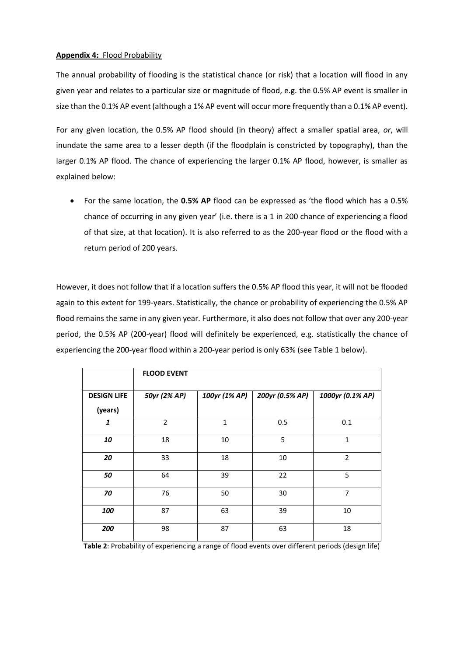#### **Appendix 4:** Flood Probability

The annual probability of flooding is the statistical chance (or risk) that a location will flood in any given year and relates to a particular size or magnitude of flood, e.g. the 0.5% AP event is smaller in size than the 0.1% AP event (although a 1% AP event will occur more frequently than a 0.1% AP event).

For any given location, the 0.5% AP flood should (in theory) affect a smaller spatial area, *or*, will inundate the same area to a lesser depth (if the floodplain is constricted by topography), than the larger 0.1% AP flood. The chance of experiencing the larger 0.1% AP flood, however, is smaller as explained below:

 For the same location, the **0.5% AP** flood can be expressed as 'the flood which has a 0.5% chance of occurring in any given year' (i.e. there is a 1 in 200 chance of experiencing a flood of that size, at that location). It is also referred to as the 200-year flood or the flood with a return period of 200 years.

However, it does not follow that if a location suffers the 0.5% AP flood this year, it will not be flooded again to this extent for 199-years. Statistically, the chance or probability of experiencing the 0.5% AP flood remains the same in any given year. Furthermore, it also does not follow that over any 200-year period, the 0.5% AP (200-year) flood will definitely be experienced, e.g. statistically the chance of experiencing the 200-year flood within a 200-year period is only 63% (see Table 1 below).

|                    | <b>FLOOD EVENT</b> |               |                 |                  |
|--------------------|--------------------|---------------|-----------------|------------------|
| <b>DESIGN LIFE</b> | 50yr (2% AP)       | 100yr (1% AP) | 200yr (0.5% AP) | 1000yr (0.1% AP) |
| (years)            |                    |               |                 |                  |
| $\mathbf{1}$       | $\overline{2}$     | $\mathbf{1}$  | 0.5             | 0.1              |
| 10                 | 18                 | 10            | 5               | $\mathbf{1}$     |
| 20                 | 33                 | 18            | 10              | $\overline{2}$   |
| 50                 | 64                 | 39            | 22              | 5                |
| 70                 | 76                 | 50            | 30              | $\overline{7}$   |
| 100                | 87                 | 63            | 39              | 10               |
| 200                | 98                 | 87            | 63              | 18               |

**Table 2**: Probability of experiencing a range of flood events over different periods (design life)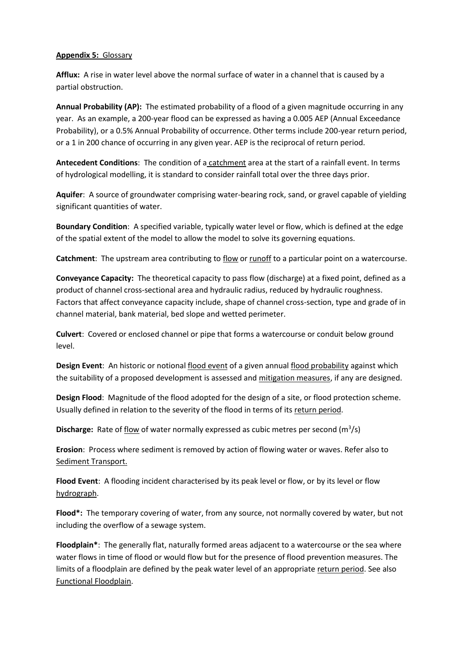## **Appendix 5:** Glossary

**Afflux:** A rise in water level above the normal surface of water in a channel that is caused by a partial obstruction.

**Annual Probability (AP):** The estimated probability of a flood of a given magnitude occurring in any year. As an example, a 200-year flood can be expressed as having a 0.005 AEP (Annual Exceedance Probability), or a 0.5% Annual Probability of occurrence. Other terms include 200-year return period, or a 1 in 200 chance of occurring in any given year. AEP is the reciprocal of return period.

**Antecedent Conditions**: The condition of a catchment area at the start of a rainfall event. In terms of hydrological modelling, it is standard to consider rainfall total over the three days prior.

**Aquifer**: A source of groundwater comprising water-bearing rock, sand, or gravel capable of yielding significant quantities of water.

**Boundary Condition**: A specified variable, typically water level or flow, which is defined at the edge of the spatial extent of the model to allow the model to solve its governing equations.

**Catchment**: The upstream area contributing to flow or runoff to a particular point on a watercourse.

**Conveyance Capacity:** The theoretical capacity to pass flow (discharge) at a fixed point, defined as a product of channel cross-sectional area and hydraulic radius, reduced by hydraulic roughness. Factors that affect conveyance capacity include, shape of channel cross-section, type and grade of in channel material, bank material, bed slope and wetted perimeter.

**Culvert**: Covered or enclosed channel or pipe that forms a watercourse or conduit below ground level.

**Design Event**: An historic or notional flood event of a given annual flood probability against which the suitability of a proposed development is assessed and mitigation measures, if any are designed.

**Design Flood**: Magnitude of the flood adopted for the design of a site, or flood protection scheme. Usually defined in relation to the severity of the flood in terms of its return period.

**Discharge:** Rate of flow of water normally expressed as cubic metres per second (m<sup>3</sup>/s)

**Erosion**: Process where sediment is removed by action of flowing water or waves. Refer also to Sediment Transport.

**Flood Event**: A flooding incident characterised by its peak level or flow, or by its level or flow hydrograph.

**Flood\*:** The temporary covering of water, from any source, not normally covered by water, but not including the overflow of a sewage system.

**Floodplain\***: The generally flat, naturally formed areas adjacent to a watercourse or the sea where water flows in time of flood or would flow but for the presence of flood prevention measures. The limits of a floodplain are defined by the peak water level of an appropriate return period. See also Functional Floodplain.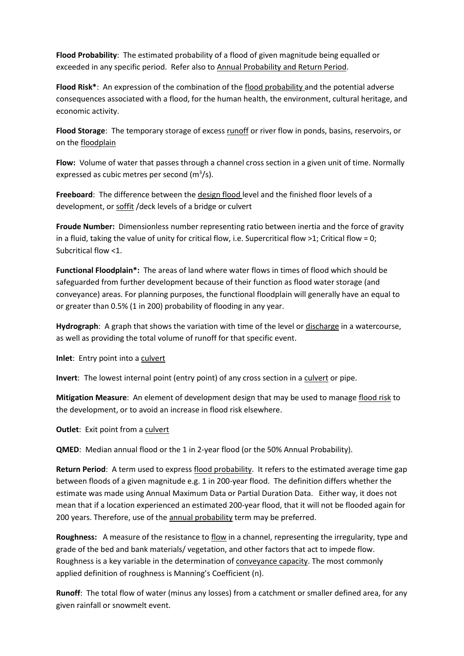**Flood Probability**: The estimated probability of a flood of given magnitude being equalled or exceeded in any specific period. Refer also to Annual Probability and Return Period.

**Flood Risk\***: An expression of the combination of the flood probability and the potential adverse consequences associated with a flood, for the human health, the environment, cultural heritage, and economic activity.

**Flood Storage**: The temporary storage of excess runoff or river flow in ponds, basins, reservoirs, or on the floodplain

**Flow:** Volume of water that passes through a channel cross section in a given unit of time. Normally expressed as cubic metres per second  $(m^3/s)$ .

**Freeboard**: The difference between the design flood level and the finished floor levels of a development, or soffit /deck levels of a bridge or culvert

**Froude Number:** Dimensionless number representing ratio between inertia and the force of gravity in a fluid, taking the value of unity for critical flow, i.e. Supercritical flow >1; Critical flow = 0; Subcritical flow <1.

**Functional Floodplain\*:** The areas of land where water flows in times of flood which should be safeguarded from further development because of their function as flood water storage (and conveyance) areas. For planning purposes, the functional floodplain will generally have an equal to or greater than 0.5% (1 in 200) probability of flooding in any year.

Hydrograph: A graph that shows the variation with time of the level or discharge in a watercourse, as well as providing the total volume of runoff for that specific event.

**Inlet**: Entry point into a culvert

**Invert**: The lowest internal point (entry point) of any cross section in a culvert or pipe.

**Mitigation Measure**: An element of development design that may be used to manage flood risk to the development, or to avoid an increase in flood risk elsewhere.

**Outlet**: Exit point from a culvert

**QMED**: Median annual flood or the 1 in 2-year flood (or the 50% Annual Probability).

**Return Period**: A term used to express flood probability. It refers to the estimated average time gap between floods of a given magnitude e.g. 1 in 200-year flood. The definition differs whether the estimate was made using Annual Maximum Data or Partial Duration Data. Either way, it does not mean that if a location experienced an estimated 200-year flood, that it will not be flooded again for 200 years. Therefore, use of the annual probability term may be preferred.

**Roughness:** A measure of the resistance to flow in a channel, representing the irregularity, type and grade of the bed and bank materials/ vegetation, and other factors that act to impede flow. Roughness is a key variable in the determination of conveyance capacity. The most commonly applied definition of roughness is Manning's Coefficient (n).

**Runoff**: The total flow of water (minus any losses) from a catchment or smaller defined area, for any given rainfall or snowmelt event.